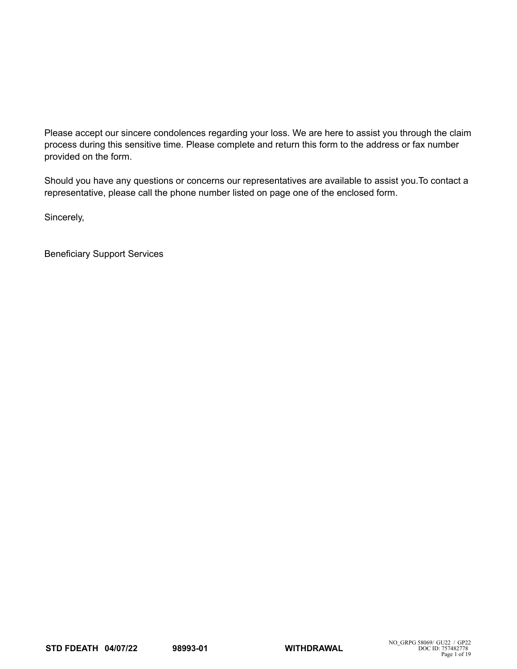Please accept our sincere condolences regarding your loss. We are here to assist you through the claim process during this sensitive time. Please complete and return this form to the address or fax number provided on the form.

Should you have any questions or concerns our representatives are available to assist you.To contact a representative, please call the phone number listed on page one of the enclosed form.

Sincerely,

Beneficiary Support Services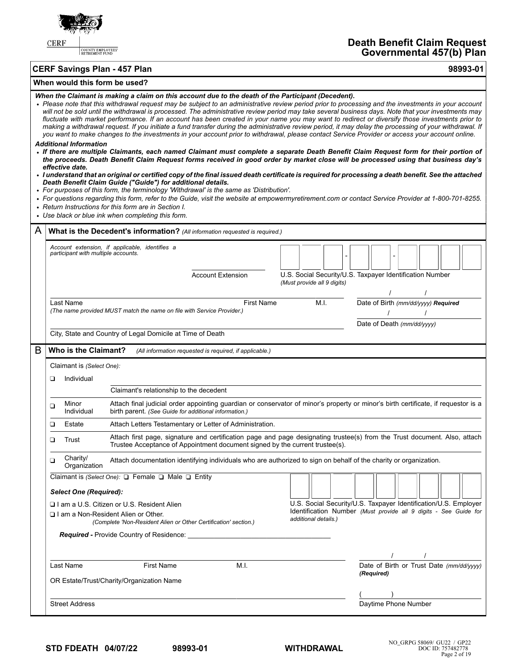

COUNTY EMPLOYEES'<br>RETIREMENT FUND

# **Death Benefit Claim Request Governmental 457(b) Plan**

| <b>CERF Savings Plan - 457 Plan</b> | 98993-01 |
|-------------------------------------|----------|
|                                     |          |

| When would this form be used? |  |  |
|-------------------------------|--|--|
|-------------------------------|--|--|

| When the Claimant is making a claim on this account due to the death of the Participant (Decedent).<br>• Please note that this withdrawal request may be subject to an administrative review period prior to processing and the investments in your account<br>will not be sold until the withdrawal is processed. The administrative review period may take several business days. Note that your investments may<br>fluctuate with market performance. If an account has been created in your name you may want to redirect or diversify those investments prior to<br>making a withdrawal request. If you initiate a fund transfer during the administrative review period, it may delay the processing of your withdrawal. If<br>you want to make changes to the investments in your account prior to withdrawal, please contact Service Provider or access your account online.<br><b>Additional Information</b><br>• If there are multiple Claimants, each named Claimant must complete a separate Death Benefit Claim Request form for their portion of<br>the proceeds. Death Benefit Claim Request forms received in good order by market close will be processed using that business day's<br>effective date.<br>· I understand that an original or certified copy of the final issued death certificate is required for processing a death benefit. See the attached<br>Death Benefit Claim Guide ("Guide") for additional details.<br>• For purposes of this form, the terminology 'Withdrawal' is the same as 'Distribution'.<br>• For questions regarding this form, refer to the Guide, visit the website at empowermyretirement.com or contact Service Provider at 1-800-701-8255.<br>• Return Instructions for this form are in Section I.<br>• Use black or blue ink when completing this form. |                                                                          |                                                                                                                                                                                                                |                                                                              |                                                                                                                                                             |  |  |  |  |
|-------------------------------------------------------------------------------------------------------------------------------------------------------------------------------------------------------------------------------------------------------------------------------------------------------------------------------------------------------------------------------------------------------------------------------------------------------------------------------------------------------------------------------------------------------------------------------------------------------------------------------------------------------------------------------------------------------------------------------------------------------------------------------------------------------------------------------------------------------------------------------------------------------------------------------------------------------------------------------------------------------------------------------------------------------------------------------------------------------------------------------------------------------------------------------------------------------------------------------------------------------------------------------------------------------------------------------------------------------------------------------------------------------------------------------------------------------------------------------------------------------------------------------------------------------------------------------------------------------------------------------------------------------------------------------------------------------------------------------------------------------------------------------------------------------------------|--------------------------------------------------------------------------|----------------------------------------------------------------------------------------------------------------------------------------------------------------------------------------------------------------|------------------------------------------------------------------------------|-------------------------------------------------------------------------------------------------------------------------------------------------------------|--|--|--|--|
| A                                                                                                                                                                                                                                                                                                                                                                                                                                                                                                                                                                                                                                                                                                                                                                                                                                                                                                                                                                                                                                                                                                                                                                                                                                                                                                                                                                                                                                                                                                                                                                                                                                                                                                                                                                                                                 |                                                                          |                                                                                                                                                                                                                | What is the Decedent's information? (All information requested is required.) |                                                                                                                                                             |  |  |  |  |
|                                                                                                                                                                                                                                                                                                                                                                                                                                                                                                                                                                                                                                                                                                                                                                                                                                                                                                                                                                                                                                                                                                                                                                                                                                                                                                                                                                                                                                                                                                                                                                                                                                                                                                                                                                                                                   | participant with multiple accounts.                                      | Account extension, if applicable, identifies a                                                                                                                                                                 | <b>Account Extension</b>                                                     | U.S. Social Security/U.S. Taxpayer Identification Number<br>(Must provide all 9 digits)                                                                     |  |  |  |  |
|                                                                                                                                                                                                                                                                                                                                                                                                                                                                                                                                                                                                                                                                                                                                                                                                                                                                                                                                                                                                                                                                                                                                                                                                                                                                                                                                                                                                                                                                                                                                                                                                                                                                                                                                                                                                                   | Last Name                                                                | (The name provided MUST match the name on file with Service Provider.)<br>City, State and Country of Legal Domicile at Time of Death                                                                           | <b>First Name</b>                                                            | M.I.<br>Date of Birth (mm/dd/yyyy) Required<br>Date of Death (mm/dd/yyyy)                                                                                   |  |  |  |  |
| B                                                                                                                                                                                                                                                                                                                                                                                                                                                                                                                                                                                                                                                                                                                                                                                                                                                                                                                                                                                                                                                                                                                                                                                                                                                                                                                                                                                                                                                                                                                                                                                                                                                                                                                                                                                                                 | Who is the Claimant?                                                     |                                                                                                                                                                                                                | (All information requested is required, if applicable.)                      |                                                                                                                                                             |  |  |  |  |
|                                                                                                                                                                                                                                                                                                                                                                                                                                                                                                                                                                                                                                                                                                                                                                                                                                                                                                                                                                                                                                                                                                                                                                                                                                                                                                                                                                                                                                                                                                                                                                                                                                                                                                                                                                                                                   | Claimant is (Select One):<br>Individual<br>▫<br>Minor<br>❏<br>Individual | Claimant's relationship to the decedent<br>birth parent. (See Guide for additional information.)                                                                                                               |                                                                              | Attach final judicial order appointing guardian or conservator of minor's property or minor's birth certificate, if requestor is a                          |  |  |  |  |
|                                                                                                                                                                                                                                                                                                                                                                                                                                                                                                                                                                                                                                                                                                                                                                                                                                                                                                                                                                                                                                                                                                                                                                                                                                                                                                                                                                                                                                                                                                                                                                                                                                                                                                                                                                                                                   | ❏<br>Estate                                                              |                                                                                                                                                                                                                | Attach Letters Testamentary or Letter of Administration.                     |                                                                                                                                                             |  |  |  |  |
|                                                                                                                                                                                                                                                                                                                                                                                                                                                                                                                                                                                                                                                                                                                                                                                                                                                                                                                                                                                                                                                                                                                                                                                                                                                                                                                                                                                                                                                                                                                                                                                                                                                                                                                                                                                                                   | Trust<br>❏                                                               |                                                                                                                                                                                                                | Trustee Acceptance of Appointment document signed by the current trustee(s). | Attach first page, signature and certification page and page designating trustee(s) from the Trust document. Also, attach                                   |  |  |  |  |
|                                                                                                                                                                                                                                                                                                                                                                                                                                                                                                                                                                                                                                                                                                                                                                                                                                                                                                                                                                                                                                                                                                                                                                                                                                                                                                                                                                                                                                                                                                                                                                                                                                                                                                                                                                                                                   | Charity/<br>❏<br>Organization                                            |                                                                                                                                                                                                                |                                                                              | Attach documentation identifying individuals who are authorized to sign on behalf of the charity or organization.                                           |  |  |  |  |
|                                                                                                                                                                                                                                                                                                                                                                                                                                                                                                                                                                                                                                                                                                                                                                                                                                                                                                                                                                                                                                                                                                                                                                                                                                                                                                                                                                                                                                                                                                                                                                                                                                                                                                                                                                                                                   | <b>Select One (Required):</b>                                            | Claimant is (Select One): □ Female □ Male □ Entity<br>I I am a U.S. Citizen or U.S. Resident Alien<br>□ I am a Non-Resident Alien or Other.<br>(Complete 'Non-Resident Alien or Other Certification' section.) | <b>Required - Provide Country of Residence:</b>                              | U.S. Social Security/U.S. Taxpayer Identification/U.S. Employer<br>Identification Number (Must provide all 9 digits - See Guide for<br>additional details.) |  |  |  |  |
|                                                                                                                                                                                                                                                                                                                                                                                                                                                                                                                                                                                                                                                                                                                                                                                                                                                                                                                                                                                                                                                                                                                                                                                                                                                                                                                                                                                                                                                                                                                                                                                                                                                                                                                                                                                                                   | Last Name                                                                | First Name<br>OR Estate/Trust/Charity/Organization Name                                                                                                                                                        | M.I.                                                                         | $\frac{1}{2}$ $\frac{1}{2}$<br>Date of Birth or Trust Date (mm/dd/yyyy)<br>(Required)                                                                       |  |  |  |  |
|                                                                                                                                                                                                                                                                                                                                                                                                                                                                                                                                                                                                                                                                                                                                                                                                                                                                                                                                                                                                                                                                                                                                                                                                                                                                                                                                                                                                                                                                                                                                                                                                                                                                                                                                                                                                                   | <b>Street Address</b>                                                    |                                                                                                                                                                                                                |                                                                              | Daytime Phone Number                                                                                                                                        |  |  |  |  |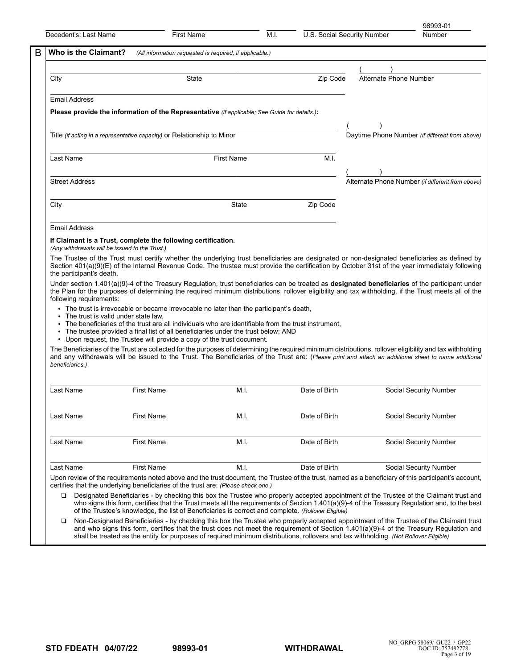| Decedent's: Last Name                          | <b>First Name</b>                                                                                                                                                                                                                                                                                                                                                | M.I.              | U.S. Social Security Number |                        | Number                                           |
|------------------------------------------------|------------------------------------------------------------------------------------------------------------------------------------------------------------------------------------------------------------------------------------------------------------------------------------------------------------------------------------------------------------------|-------------------|-----------------------------|------------------------|--------------------------------------------------|
| Who is the Claimant?                           | (All information requested is required, if applicable.)                                                                                                                                                                                                                                                                                                          |                   |                             |                        |                                                  |
| City                                           | State                                                                                                                                                                                                                                                                                                                                                            |                   | Zip Code                    | Alternate Phone Number |                                                  |
|                                                |                                                                                                                                                                                                                                                                                                                                                                  |                   |                             |                        |                                                  |
| <b>Email Address</b>                           | Please provide the information of the Representative (if applicable; See Guide for details.):                                                                                                                                                                                                                                                                    |                   |                             |                        |                                                  |
|                                                |                                                                                                                                                                                                                                                                                                                                                                  |                   |                             |                        |                                                  |
|                                                | Title (if acting in a representative capacity) or Relationship to Minor                                                                                                                                                                                                                                                                                          |                   |                             |                        | Daytime Phone Number (if different from above)   |
| Last Name                                      |                                                                                                                                                                                                                                                                                                                                                                  | <b>First Name</b> | M.I.                        |                        |                                                  |
| <b>Street Address</b>                          |                                                                                                                                                                                                                                                                                                                                                                  |                   |                             |                        | Alternate Phone Number (if different from above) |
|                                                |                                                                                                                                                                                                                                                                                                                                                                  |                   |                             |                        |                                                  |
| City                                           |                                                                                                                                                                                                                                                                                                                                                                  | <b>State</b>      | Zip Code                    |                        |                                                  |
| <b>Email Address</b>                           |                                                                                                                                                                                                                                                                                                                                                                  |                   |                             |                        |                                                  |
| (Any withdrawals will be issued to the Trust.) | If Claimant is a Trust, complete the following certification.                                                                                                                                                                                                                                                                                                    |                   |                             |                        |                                                  |
| the participant's death.                       | The Trustee of the Trust must certify whether the underlying trust beneficiaries are designated or non-designated beneficiaries as defined by<br>Section 401(a)(9)(E) of the Internal Revenue Code. The trustee must provide the certification by October 31st of the year immediately following                                                                 |                   |                             |                        |                                                  |
| following requirements:                        | Under section $1.401(a)(9)-4$ of the Treasury Regulation, trust beneficiaries can be treated as designated beneficiaries of the participant under<br>the Plan for the purposes of determining the required minimum distributions, rollover eligibility and tax withholding, if the Trust meets all of the                                                        |                   |                             |                        |                                                  |
| • The trust is valid under state law.          | • The trust is irrevocable or became irrevocable no later than the participant's death,<br>• The beneficiaries of the trust are all individuals who are identifiable from the trust instrument,<br>• The trustee provided a final list of all beneficiaries under the trust below; AND<br>• Upon request, the Trustee will provide a copy of the trust document. |                   |                             |                        |                                                  |
| beneficiaries.)                                | The Beneficiaries of the Trust are collected for the purposes of determining the required minimum distributions, rollover eligibility and tax withholding<br>and any withdrawals will be issued to the Trust. The Beneficiaries of the Trust are: (Please print and attach an additional sheet to name additional                                                |                   |                             |                        |                                                  |
| Last Name                                      | <b>First Name</b>                                                                                                                                                                                                                                                                                                                                                | M.I.              | Date of Birth               |                        | Social Security Number                           |
| Last Name                                      | <b>First Name</b>                                                                                                                                                                                                                                                                                                                                                | M.I.              | Date of Birth               |                        | Social Security Number                           |
| Last Name                                      | <b>First Name</b>                                                                                                                                                                                                                                                                                                                                                | M.I.              | Date of Birth               |                        | Social Security Number                           |
| Last Name                                      | <b>First Name</b>                                                                                                                                                                                                                                                                                                                                                | M.I.              | Date of Birth               |                        | Social Security Number                           |
|                                                | Upon review of the requirements noted above and the trust document, the Trustee of the trust, named as a beneficiary of this participant's account,                                                                                                                                                                                                              |                   |                             |                        |                                                  |
|                                                | certifies that the underlying beneficiaries of the trust are: (Please check one.)                                                                                                                                                                                                                                                                                |                   |                             |                        |                                                  |

Non-Designated Beneficiaries - by checking this box the Trustee who properly accepted appointment of the Trustee of the Claimant trust and who signs this form, certifies that the trust does not meet the requirement of Section 1.401(a)(9)-4 of the Treasury Regulation and shall be treated as the entity for purposes of required minimum distributions, rollovers and tax withholding. *(Not Rollover Eligible)*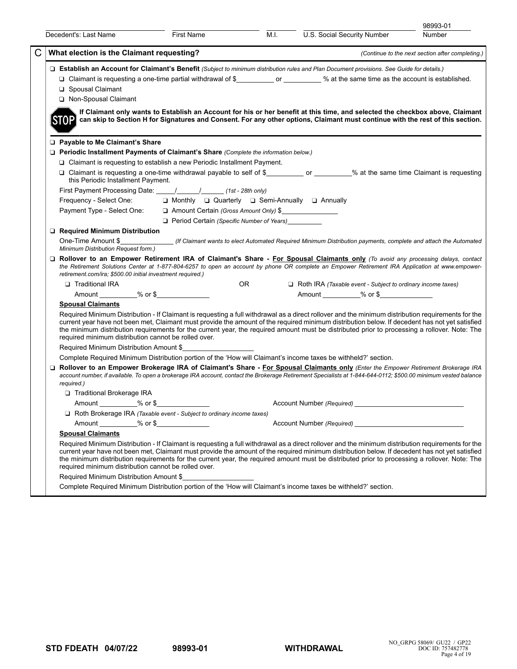| What election is the Claimant requesting?<br>□ Establish an Account for Claimant's Benefit (Subject to minimum distribution rules and Plan Document provisions. See Guide for details.)<br>□ Claimant is requesting a one-time partial withdrawal of \$ ___________ or _________ % at the same time as the account is established.<br>□ Spousal Claimant<br>Non-Spousal Claimant<br>If Claimant only wants to Establish an Account for his or her benefit at this time, and selected the checkbox above, Claimant<br><b>STOP</b><br>can skip to Section H for Signatures and Consent. For any other options, Claimant must continue with the rest of this section.<br>□ Payable to Me Claimant's Share<br>□ Periodic Installment Payments of Claimant's Share (Complete the information below.)<br>$\Box$ Claimant is requesting to establish a new Periodic Installment Payment.<br>□ Claimant is requesting a one-time withdrawal payable to self of \$_____________ or ________% at the same time Claimant is requesting<br>this Periodic Installment Payment.<br>First Payment Processing Date: \[\sqrtdgetildeft rate and response (1st - 28th only)<br>Frequency - Select One: $\square$ Monthly $\square$ Quarterly $\square$ Semi-Annually $\square$ Annually<br>Payment Type - Select One:<br><u> a</u> Amount Certain (Gross Amount Only) \$<br>Period Certain (Specific Number of Years)<br>Required Minimum Distribution<br>One-Time Amount \$________________(If Claimant wants to elect Automated Required Minimum Distribution payments, complete and attach the Automated<br>Minimum Distribution Request form.)<br>D Rollover to an Empower Retirement IRA of Claimant's Share - For Spousal Claimants only (To avoid any processing delays, contact<br>Traditional IRA<br>OR<br>$\Box$ Roth IRA (Taxable event - Subject to ordinary income taxes)<br>Amount __________ % or \$<br><b>Spousal Claimants</b><br>Required Minimum Distribution - If Claimant is requesting a full withdrawal as a direct rollover and the minimum distribution requirements for the<br>current year have not been met, Claimant must provide the amount of the required minimum distribution below. If decedent has not yet satisfied<br>the minimum distribution requirements for the current year, the required amount must be distributed prior to processing a rollover. Note: The<br>required minimum distribution cannot be rolled over.<br>Required Minimum Distribution Amount \$<br>Complete Required Minimum Distribution portion of the 'How will Claimant's income taxes be withheld?' section.<br>□ Rollover to an Empower Brokerage IRA of Claimant's Share - For Spousal Claimants only (Enter the Empower Retirement Brokerage IRA<br>account number, if available. To open a brokerage IRA account, contact the Brokerage Retirement Specialists at 1-844-644-0112; \$500.00 minimum vested balance<br>required.)<br>□ Traditional Brokerage IRA<br>Amount ___________% or \$<br>$\Box$ Roth Brokerage IRA (Taxable event - Subject to ordinary income taxes)<br>Amount __________ % or \$____________<br>Account Number (Required)<br><b>Spousal Claimants</b><br>Required Minimum Distribution - If Claimant is requesting a full withdrawal as a direct rollover and the minimum distribution requirements for the<br>current year have not been met, Claimant must provide the amount of the required minimum distribution below. If decedent has not yet satisfied<br>the minimum distribution requirements for the current year, the required amount must be distributed prior to processing a rollover. Note: The<br>required minimum distribution cannot be rolled over. | U.S. Social Security Number                                                                                                                                                                                   | 98993-01<br>Number                               |  |  |  |  |  |  |  |
|---------------------------------------------------------------------------------------------------------------------------------------------------------------------------------------------------------------------------------------------------------------------------------------------------------------------------------------------------------------------------------------------------------------------------------------------------------------------------------------------------------------------------------------------------------------------------------------------------------------------------------------------------------------------------------------------------------------------------------------------------------------------------------------------------------------------------------------------------------------------------------------------------------------------------------------------------------------------------------------------------------------------------------------------------------------------------------------------------------------------------------------------------------------------------------------------------------------------------------------------------------------------------------------------------------------------------------------------------------------------------------------------------------------------------------------------------------------------------------------------------------------------------------------------------------------------------------------------------------------------------------------------------------------------------------------------------------------------------------------------------------------------------------------------------------------------------------------------------------------------------------------------------------------------------------------------------------------------------------------------------------------------------------------------------------------------------------------------------------------------------------------------------------------------------------------------------------------------------------------------------------------------------------------------------------------------------------------------------------------------------------------------------------------------------------------------------------------------------------------------------------------------------------------------------------------------------------------------------------------------------------------------------------------------------------------------------------------------------------------------------------------------------------------------------------------------------------------------------------------------------------------------------------------------------------------------------------------------------------------------------------------------------------------------------------------------------------------------------------------------------------------------------------------------------------------------------------------------------------------------------------------------------------------------------------------------------------------------------------------------------------------------------------------------------------------------------------------------------------------------------------------------------------------------------------------------------------------------------------------------------------------------------------------------------------------------------|---------------------------------------------------------------------------------------------------------------------------------------------------------------------------------------------------------------|--------------------------------------------------|--|--|--|--|--|--|--|
|                                                                                                                                                                                                                                                                                                                                                                                                                                                                                                                                                                                                                                                                                                                                                                                                                                                                                                                                                                                                                                                                                                                                                                                                                                                                                                                                                                                                                                                                                                                                                                                                                                                                                                                                                                                                                                                                                                                                                                                                                                                                                                                                                                                                                                                                                                                                                                                                                                                                                                                                                                                                                                                                                                                                                                                                                                                                                                                                                                                                                                                                                                                                                                                                                                                                                                                                                                                                                                                                                                                                                                                                                                                                                                   |                                                                                                                                                                                                               | (Continue to the next section after completing.) |  |  |  |  |  |  |  |
|                                                                                                                                                                                                                                                                                                                                                                                                                                                                                                                                                                                                                                                                                                                                                                                                                                                                                                                                                                                                                                                                                                                                                                                                                                                                                                                                                                                                                                                                                                                                                                                                                                                                                                                                                                                                                                                                                                                                                                                                                                                                                                                                                                                                                                                                                                                                                                                                                                                                                                                                                                                                                                                                                                                                                                                                                                                                                                                                                                                                                                                                                                                                                                                                                                                                                                                                                                                                                                                                                                                                                                                                                                                                                                   |                                                                                                                                                                                                               |                                                  |  |  |  |  |  |  |  |
|                                                                                                                                                                                                                                                                                                                                                                                                                                                                                                                                                                                                                                                                                                                                                                                                                                                                                                                                                                                                                                                                                                                                                                                                                                                                                                                                                                                                                                                                                                                                                                                                                                                                                                                                                                                                                                                                                                                                                                                                                                                                                                                                                                                                                                                                                                                                                                                                                                                                                                                                                                                                                                                                                                                                                                                                                                                                                                                                                                                                                                                                                                                                                                                                                                                                                                                                                                                                                                                                                                                                                                                                                                                                                                   |                                                                                                                                                                                                               |                                                  |  |  |  |  |  |  |  |
|                                                                                                                                                                                                                                                                                                                                                                                                                                                                                                                                                                                                                                                                                                                                                                                                                                                                                                                                                                                                                                                                                                                                                                                                                                                                                                                                                                                                                                                                                                                                                                                                                                                                                                                                                                                                                                                                                                                                                                                                                                                                                                                                                                                                                                                                                                                                                                                                                                                                                                                                                                                                                                                                                                                                                                                                                                                                                                                                                                                                                                                                                                                                                                                                                                                                                                                                                                                                                                                                                                                                                                                                                                                                                                   |                                                                                                                                                                                                               |                                                  |  |  |  |  |  |  |  |
|                                                                                                                                                                                                                                                                                                                                                                                                                                                                                                                                                                                                                                                                                                                                                                                                                                                                                                                                                                                                                                                                                                                                                                                                                                                                                                                                                                                                                                                                                                                                                                                                                                                                                                                                                                                                                                                                                                                                                                                                                                                                                                                                                                                                                                                                                                                                                                                                                                                                                                                                                                                                                                                                                                                                                                                                                                                                                                                                                                                                                                                                                                                                                                                                                                                                                                                                                                                                                                                                                                                                                                                                                                                                                                   |                                                                                                                                                                                                               |                                                  |  |  |  |  |  |  |  |
|                                                                                                                                                                                                                                                                                                                                                                                                                                                                                                                                                                                                                                                                                                                                                                                                                                                                                                                                                                                                                                                                                                                                                                                                                                                                                                                                                                                                                                                                                                                                                                                                                                                                                                                                                                                                                                                                                                                                                                                                                                                                                                                                                                                                                                                                                                                                                                                                                                                                                                                                                                                                                                                                                                                                                                                                                                                                                                                                                                                                                                                                                                                                                                                                                                                                                                                                                                                                                                                                                                                                                                                                                                                                                                   |                                                                                                                                                                                                               |                                                  |  |  |  |  |  |  |  |
|                                                                                                                                                                                                                                                                                                                                                                                                                                                                                                                                                                                                                                                                                                                                                                                                                                                                                                                                                                                                                                                                                                                                                                                                                                                                                                                                                                                                                                                                                                                                                                                                                                                                                                                                                                                                                                                                                                                                                                                                                                                                                                                                                                                                                                                                                                                                                                                                                                                                                                                                                                                                                                                                                                                                                                                                                                                                                                                                                                                                                                                                                                                                                                                                                                                                                                                                                                                                                                                                                                                                                                                                                                                                                                   |                                                                                                                                                                                                               |                                                  |  |  |  |  |  |  |  |
|                                                                                                                                                                                                                                                                                                                                                                                                                                                                                                                                                                                                                                                                                                                                                                                                                                                                                                                                                                                                                                                                                                                                                                                                                                                                                                                                                                                                                                                                                                                                                                                                                                                                                                                                                                                                                                                                                                                                                                                                                                                                                                                                                                                                                                                                                                                                                                                                                                                                                                                                                                                                                                                                                                                                                                                                                                                                                                                                                                                                                                                                                                                                                                                                                                                                                                                                                                                                                                                                                                                                                                                                                                                                                                   |                                                                                                                                                                                                               |                                                  |  |  |  |  |  |  |  |
|                                                                                                                                                                                                                                                                                                                                                                                                                                                                                                                                                                                                                                                                                                                                                                                                                                                                                                                                                                                                                                                                                                                                                                                                                                                                                                                                                                                                                                                                                                                                                                                                                                                                                                                                                                                                                                                                                                                                                                                                                                                                                                                                                                                                                                                                                                                                                                                                                                                                                                                                                                                                                                                                                                                                                                                                                                                                                                                                                                                                                                                                                                                                                                                                                                                                                                                                                                                                                                                                                                                                                                                                                                                                                                   |                                                                                                                                                                                                               |                                                  |  |  |  |  |  |  |  |
|                                                                                                                                                                                                                                                                                                                                                                                                                                                                                                                                                                                                                                                                                                                                                                                                                                                                                                                                                                                                                                                                                                                                                                                                                                                                                                                                                                                                                                                                                                                                                                                                                                                                                                                                                                                                                                                                                                                                                                                                                                                                                                                                                                                                                                                                                                                                                                                                                                                                                                                                                                                                                                                                                                                                                                                                                                                                                                                                                                                                                                                                                                                                                                                                                                                                                                                                                                                                                                                                                                                                                                                                                                                                                                   | the Retirement Solutions Center at 1-877-804-6257 to open an account by phone OR complete an Empower Retirement IRA Application at www.empower-<br>retirement.com/ira; \$500.00 initial investment required.) |                                                  |  |  |  |  |  |  |  |
|                                                                                                                                                                                                                                                                                                                                                                                                                                                                                                                                                                                                                                                                                                                                                                                                                                                                                                                                                                                                                                                                                                                                                                                                                                                                                                                                                                                                                                                                                                                                                                                                                                                                                                                                                                                                                                                                                                                                                                                                                                                                                                                                                                                                                                                                                                                                                                                                                                                                                                                                                                                                                                                                                                                                                                                                                                                                                                                                                                                                                                                                                                                                                                                                                                                                                                                                                                                                                                                                                                                                                                                                                                                                                                   |                                                                                                                                                                                                               |                                                  |  |  |  |  |  |  |  |
|                                                                                                                                                                                                                                                                                                                                                                                                                                                                                                                                                                                                                                                                                                                                                                                                                                                                                                                                                                                                                                                                                                                                                                                                                                                                                                                                                                                                                                                                                                                                                                                                                                                                                                                                                                                                                                                                                                                                                                                                                                                                                                                                                                                                                                                                                                                                                                                                                                                                                                                                                                                                                                                                                                                                                                                                                                                                                                                                                                                                                                                                                                                                                                                                                                                                                                                                                                                                                                                                                                                                                                                                                                                                                                   |                                                                                                                                                                                                               |                                                  |  |  |  |  |  |  |  |
|                                                                                                                                                                                                                                                                                                                                                                                                                                                                                                                                                                                                                                                                                                                                                                                                                                                                                                                                                                                                                                                                                                                                                                                                                                                                                                                                                                                                                                                                                                                                                                                                                                                                                                                                                                                                                                                                                                                                                                                                                                                                                                                                                                                                                                                                                                                                                                                                                                                                                                                                                                                                                                                                                                                                                                                                                                                                                                                                                                                                                                                                                                                                                                                                                                                                                                                                                                                                                                                                                                                                                                                                                                                                                                   |                                                                                                                                                                                                               |                                                  |  |  |  |  |  |  |  |
|                                                                                                                                                                                                                                                                                                                                                                                                                                                                                                                                                                                                                                                                                                                                                                                                                                                                                                                                                                                                                                                                                                                                                                                                                                                                                                                                                                                                                                                                                                                                                                                                                                                                                                                                                                                                                                                                                                                                                                                                                                                                                                                                                                                                                                                                                                                                                                                                                                                                                                                                                                                                                                                                                                                                                                                                                                                                                                                                                                                                                                                                                                                                                                                                                                                                                                                                                                                                                                                                                                                                                                                                                                                                                                   |                                                                                                                                                                                                               |                                                  |  |  |  |  |  |  |  |
|                                                                                                                                                                                                                                                                                                                                                                                                                                                                                                                                                                                                                                                                                                                                                                                                                                                                                                                                                                                                                                                                                                                                                                                                                                                                                                                                                                                                                                                                                                                                                                                                                                                                                                                                                                                                                                                                                                                                                                                                                                                                                                                                                                                                                                                                                                                                                                                                                                                                                                                                                                                                                                                                                                                                                                                                                                                                                                                                                                                                                                                                                                                                                                                                                                                                                                                                                                                                                                                                                                                                                                                                                                                                                                   |                                                                                                                                                                                                               |                                                  |  |  |  |  |  |  |  |
|                                                                                                                                                                                                                                                                                                                                                                                                                                                                                                                                                                                                                                                                                                                                                                                                                                                                                                                                                                                                                                                                                                                                                                                                                                                                                                                                                                                                                                                                                                                                                                                                                                                                                                                                                                                                                                                                                                                                                                                                                                                                                                                                                                                                                                                                                                                                                                                                                                                                                                                                                                                                                                                                                                                                                                                                                                                                                                                                                                                                                                                                                                                                                                                                                                                                                                                                                                                                                                                                                                                                                                                                                                                                                                   |                                                                                                                                                                                                               |                                                  |  |  |  |  |  |  |  |
|                                                                                                                                                                                                                                                                                                                                                                                                                                                                                                                                                                                                                                                                                                                                                                                                                                                                                                                                                                                                                                                                                                                                                                                                                                                                                                                                                                                                                                                                                                                                                                                                                                                                                                                                                                                                                                                                                                                                                                                                                                                                                                                                                                                                                                                                                                                                                                                                                                                                                                                                                                                                                                                                                                                                                                                                                                                                                                                                                                                                                                                                                                                                                                                                                                                                                                                                                                                                                                                                                                                                                                                                                                                                                                   |                                                                                                                                                                                                               |                                                  |  |  |  |  |  |  |  |
|                                                                                                                                                                                                                                                                                                                                                                                                                                                                                                                                                                                                                                                                                                                                                                                                                                                                                                                                                                                                                                                                                                                                                                                                                                                                                                                                                                                                                                                                                                                                                                                                                                                                                                                                                                                                                                                                                                                                                                                                                                                                                                                                                                                                                                                                                                                                                                                                                                                                                                                                                                                                                                                                                                                                                                                                                                                                                                                                                                                                                                                                                                                                                                                                                                                                                                                                                                                                                                                                                                                                                                                                                                                                                                   |                                                                                                                                                                                                               |                                                  |  |  |  |  |  |  |  |
|                                                                                                                                                                                                                                                                                                                                                                                                                                                                                                                                                                                                                                                                                                                                                                                                                                                                                                                                                                                                                                                                                                                                                                                                                                                                                                                                                                                                                                                                                                                                                                                                                                                                                                                                                                                                                                                                                                                                                                                                                                                                                                                                                                                                                                                                                                                                                                                                                                                                                                                                                                                                                                                                                                                                                                                                                                                                                                                                                                                                                                                                                                                                                                                                                                                                                                                                                                                                                                                                                                                                                                                                                                                                                                   |                                                                                                                                                                                                               |                                                  |  |  |  |  |  |  |  |
|                                                                                                                                                                                                                                                                                                                                                                                                                                                                                                                                                                                                                                                                                                                                                                                                                                                                                                                                                                                                                                                                                                                                                                                                                                                                                                                                                                                                                                                                                                                                                                                                                                                                                                                                                                                                                                                                                                                                                                                                                                                                                                                                                                                                                                                                                                                                                                                                                                                                                                                                                                                                                                                                                                                                                                                                                                                                                                                                                                                                                                                                                                                                                                                                                                                                                                                                                                                                                                                                                                                                                                                                                                                                                                   |                                                                                                                                                                                                               |                                                  |  |  |  |  |  |  |  |
|                                                                                                                                                                                                                                                                                                                                                                                                                                                                                                                                                                                                                                                                                                                                                                                                                                                                                                                                                                                                                                                                                                                                                                                                                                                                                                                                                                                                                                                                                                                                                                                                                                                                                                                                                                                                                                                                                                                                                                                                                                                                                                                                                                                                                                                                                                                                                                                                                                                                                                                                                                                                                                                                                                                                                                                                                                                                                                                                                                                                                                                                                                                                                                                                                                                                                                                                                                                                                                                                                                                                                                                                                                                                                                   |                                                                                                                                                                                                               |                                                  |  |  |  |  |  |  |  |
|                                                                                                                                                                                                                                                                                                                                                                                                                                                                                                                                                                                                                                                                                                                                                                                                                                                                                                                                                                                                                                                                                                                                                                                                                                                                                                                                                                                                                                                                                                                                                                                                                                                                                                                                                                                                                                                                                                                                                                                                                                                                                                                                                                                                                                                                                                                                                                                                                                                                                                                                                                                                                                                                                                                                                                                                                                                                                                                                                                                                                                                                                                                                                                                                                                                                                                                                                                                                                                                                                                                                                                                                                                                                                                   |                                                                                                                                                                                                               |                                                  |  |  |  |  |  |  |  |
|                                                                                                                                                                                                                                                                                                                                                                                                                                                                                                                                                                                                                                                                                                                                                                                                                                                                                                                                                                                                                                                                                                                                                                                                                                                                                                                                                                                                                                                                                                                                                                                                                                                                                                                                                                                                                                                                                                                                                                                                                                                                                                                                                                                                                                                                                                                                                                                                                                                                                                                                                                                                                                                                                                                                                                                                                                                                                                                                                                                                                                                                                                                                                                                                                                                                                                                                                                                                                                                                                                                                                                                                                                                                                                   |                                                                                                                                                                                                               |                                                  |  |  |  |  |  |  |  |
| Required Minimum Distribution Amount \$                                                                                                                                                                                                                                                                                                                                                                                                                                                                                                                                                                                                                                                                                                                                                                                                                                                                                                                                                                                                                                                                                                                                                                                                                                                                                                                                                                                                                                                                                                                                                                                                                                                                                                                                                                                                                                                                                                                                                                                                                                                                                                                                                                                                                                                                                                                                                                                                                                                                                                                                                                                                                                                                                                                                                                                                                                                                                                                                                                                                                                                                                                                                                                                                                                                                                                                                                                                                                                                                                                                                                                                                                                                           |                                                                                                                                                                                                               |                                                  |  |  |  |  |  |  |  |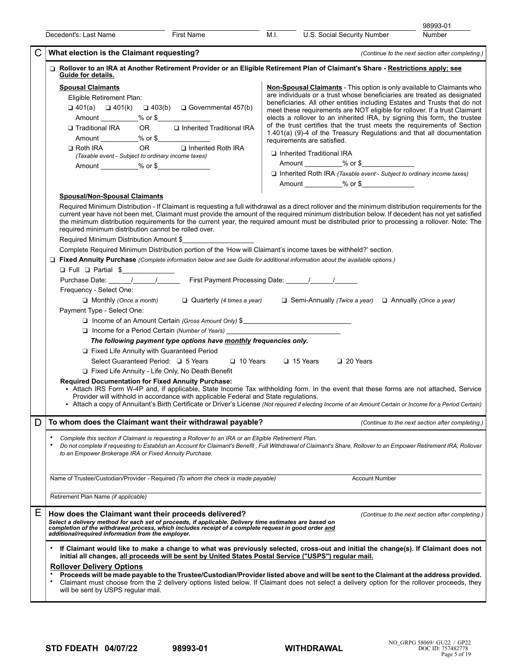|   |                                                                                                                                                                                                                                                                                                                                                                                                                                                                                                                                                                                                                                                                                                                                                                                                                                                                                                                                                                                                                                                                                                                                                                                                                                                                                                                                                                                                                                                                                                                                                |                                                                                                                                                                                                                                                                                                                                                                                                                      |                                                          |                                                                                                                                                                                                                                                                                                                                                                                                                                                                                                                                                                                                                                                                    | 98993-01                                         |
|---|------------------------------------------------------------------------------------------------------------------------------------------------------------------------------------------------------------------------------------------------------------------------------------------------------------------------------------------------------------------------------------------------------------------------------------------------------------------------------------------------------------------------------------------------------------------------------------------------------------------------------------------------------------------------------------------------------------------------------------------------------------------------------------------------------------------------------------------------------------------------------------------------------------------------------------------------------------------------------------------------------------------------------------------------------------------------------------------------------------------------------------------------------------------------------------------------------------------------------------------------------------------------------------------------------------------------------------------------------------------------------------------------------------------------------------------------------------------------------------------------------------------------------------------------|----------------------------------------------------------------------------------------------------------------------------------------------------------------------------------------------------------------------------------------------------------------------------------------------------------------------------------------------------------------------------------------------------------------------|----------------------------------------------------------|--------------------------------------------------------------------------------------------------------------------------------------------------------------------------------------------------------------------------------------------------------------------------------------------------------------------------------------------------------------------------------------------------------------------------------------------------------------------------------------------------------------------------------------------------------------------------------------------------------------------------------------------------------------------|--------------------------------------------------|
|   | Decedent's: Last Name                                                                                                                                                                                                                                                                                                                                                                                                                                                                                                                                                                                                                                                                                                                                                                                                                                                                                                                                                                                                                                                                                                                                                                                                                                                                                                                                                                                                                                                                                                                          | First Name                                                                                                                                                                                                                                                                                                                                                                                                           | M.I.                                                     | U.S. Social Security Number                                                                                                                                                                                                                                                                                                                                                                                                                                                                                                                                                                                                                                        | Number                                           |
|   | What election is the Claimant requesting?                                                                                                                                                                                                                                                                                                                                                                                                                                                                                                                                                                                                                                                                                                                                                                                                                                                                                                                                                                                                                                                                                                                                                                                                                                                                                                                                                                                                                                                                                                      |                                                                                                                                                                                                                                                                                                                                                                                                                      |                                                          |                                                                                                                                                                                                                                                                                                                                                                                                                                                                                                                                                                                                                                                                    | (Continue to the next section after completing.) |
|   | □ Rollover to an IRA at Another Retirement Provider or an Eligible Retirement Plan of Claimant's Share - Restrictions apply; see<br>Guide for details.<br><b>Spousal Claimants</b><br>Eligible Retirement Plan:<br>$\Box$ 401(a) $\Box$ 401(k) $\Box$ 403(b) $\Box$ Governmental 457(b)<br>Traditional IRA<br>Amount ___________% or \$<br>$\square$ Roth IRA<br>(Taxable event - Subject to ordinary income taxes)<br><b>Spousal/Non-Spousal Claimants</b><br>Required Minimum Distribution - If Claimant is requesting a full withdrawal as a direct rollover and the minimum distribution requirements for the<br>current year have not been met, Claimant must provide the amount of the required minimum distribution below. If decedent has not yet satisfied<br>the minimum distribution requirements for the current year, the required amount must be distributed prior to processing a rollover. Note: The<br>required minimum distribution cannot be rolled over.<br>Required Minimum Distribution Amount \$<br>Complete Required Minimum Distribution portion of the 'How will Claimant's income taxes be withheld?' section.<br>□ Fixed Annuity Purchase (Complete information below and see Guide for additional information about the available options.)<br>O Full O Partial \$<br>Purchase Date: 1 1 1 1 1 First Payment Processing Date: 1 1 1<br>Frequency - Select One:<br>$\Box$ Monthly (Once a month)<br>Payment Type - Select One:<br>Fixed Life Annuity with Guaranteed Period<br>Select Guaranteed Period: □ 5 Years | OR <b>Q</b> Inherited Traditional IRA<br>OR D Inherited Roth IRA<br>Quarterly (4 times a year) $\Box$ Semi-Annually (Twice a year) $\Box$ Annually (Once a year)<br>□ Income of an Amount Certain (Gross Amount Only) \$<br>□ Income for a Period Certain (Number of Years) ________________________________<br>The following payment type options have monthly frequencies only.<br>$\Box$ 10 Years $\Box$ 15 Years | requirements are satisfied.<br>Inherited Traditional IRA | <b>Non-Spousal Claimants</b> - This option is only available to Claimants who<br>are individuals or a trust whose beneficiaries are treated as designated<br>beneficiaries. All other entities including Estates and Trusts that do not<br>meet these requirements are NOT eligible for rollover. If a trust Claimant<br>elects a rollover to an inherited IRA, by signing this form, the trustee<br>of the trust certifies that the trust meets the requirements of Section<br>1.401(a) (9)-4 of the Treasury Regulations and that all documentation<br>Amount ___________% or \$<br>$\Box$ Inherited Roth IRA (Taxable event - Subject to ordinary income taxes) |                                                  |
|   | Fixed Life Annuity - Life Only, No Death Benefit<br><b>Required Documentation for Fixed Annuity Purchase:</b><br>• Attach IRS Form W-4P and, if applicable, State Income Tax withholding form. In the event that these forms are not attached, Service<br>Provider will withhold in accordance with applicable Federal and State regulations.<br>• Attach a copy of Annuitant's Birth Certificate or Driver's License (Not required if electing Income of an Amount Certain or Income for a Period Certain)                                                                                                                                                                                                                                                                                                                                                                                                                                                                                                                                                                                                                                                                                                                                                                                                                                                                                                                                                                                                                                    |                                                                                                                                                                                                                                                                                                                                                                                                                      |                                                          |                                                                                                                                                                                                                                                                                                                                                                                                                                                                                                                                                                                                                                                                    |                                                  |
| D | To whom does the Claimant want their withdrawal payable?                                                                                                                                                                                                                                                                                                                                                                                                                                                                                                                                                                                                                                                                                                                                                                                                                                                                                                                                                                                                                                                                                                                                                                                                                                                                                                                                                                                                                                                                                       |                                                                                                                                                                                                                                                                                                                                                                                                                      |                                                          |                                                                                                                                                                                                                                                                                                                                                                                                                                                                                                                                                                                                                                                                    | (Continue to the next section after completing.) |
|   | Complete this section if Claimant is requesting a Rollover to an IRA or an Eligible Retirement Plan.<br>Do not complete if requesting to Establish an Account for Claimant's Benefit, Full Withdrawal of Claimant's Share, Rollover to an Empower Retirement IRA, Rollover<br>to an Empower Brokerage IRA or Fixed Annuity Purchase.                                                                                                                                                                                                                                                                                                                                                                                                                                                                                                                                                                                                                                                                                                                                                                                                                                                                                                                                                                                                                                                                                                                                                                                                           |                                                                                                                                                                                                                                                                                                                                                                                                                      |                                                          |                                                                                                                                                                                                                                                                                                                                                                                                                                                                                                                                                                                                                                                                    |                                                  |
|   | Name of Trustee/Custodian/Provider - Required (To whom the check is made payable)                                                                                                                                                                                                                                                                                                                                                                                                                                                                                                                                                                                                                                                                                                                                                                                                                                                                                                                                                                                                                                                                                                                                                                                                                                                                                                                                                                                                                                                              |                                                                                                                                                                                                                                                                                                                                                                                                                      |                                                          | <b>Account Number</b>                                                                                                                                                                                                                                                                                                                                                                                                                                                                                                                                                                                                                                              |                                                  |
|   | Retirement Plan Name (if applicable)                                                                                                                                                                                                                                                                                                                                                                                                                                                                                                                                                                                                                                                                                                                                                                                                                                                                                                                                                                                                                                                                                                                                                                                                                                                                                                                                                                                                                                                                                                           |                                                                                                                                                                                                                                                                                                                                                                                                                      |                                                          |                                                                                                                                                                                                                                                                                                                                                                                                                                                                                                                                                                                                                                                                    |                                                  |
| Е | How does the Claimant want their proceeds delivered?<br>Select a delivery method for each set of proceeds, if applicable. Delivery time estimates are based on<br>completion of the withdrawal process, which includes receipt of a complete request in good order and<br>additional/required information from the employer.                                                                                                                                                                                                                                                                                                                                                                                                                                                                                                                                                                                                                                                                                                                                                                                                                                                                                                                                                                                                                                                                                                                                                                                                                   |                                                                                                                                                                                                                                                                                                                                                                                                                      |                                                          |                                                                                                                                                                                                                                                                                                                                                                                                                                                                                                                                                                                                                                                                    | (Continue to the next section after completing.) |
|   | If Claimant would like to make a change to what was previously selected, cross-out and initial the change(s). If Claimant does not<br>initial all changes, all proceeds will be sent by United States Postal Service ("USPS") regular mail.<br><b>Rollover Delivery Options</b><br>Proceeds will be made payable to the Trustee/Custodian/Provider listed above and will be sent to the Claimant at the address provided.<br>Claimant must choose from the 2 delivery options listed below. If Claimant does not select a delivery option for the rollover proceeds, they<br>will be sent by USPS regular mail.                                                                                                                                                                                                                                                                                                                                                                                                                                                                                                                                                                                                                                                                                                                                                                                                                                                                                                                                |                                                                                                                                                                                                                                                                                                                                                                                                                      |                                                          |                                                                                                                                                                                                                                                                                                                                                                                                                                                                                                                                                                                                                                                                    |                                                  |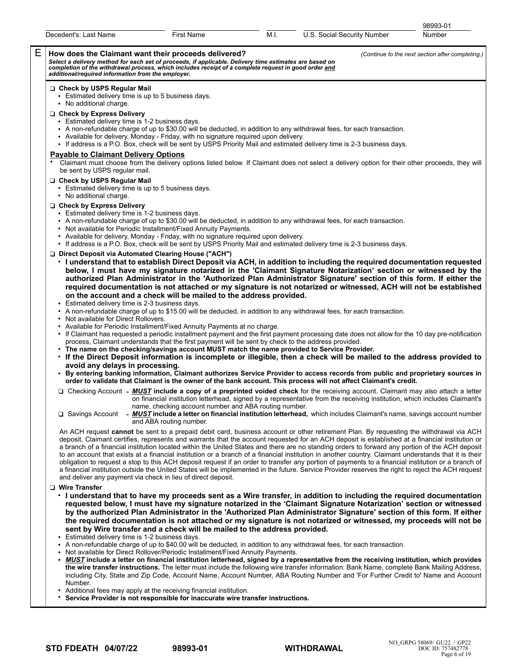|   | Decedent's: Last Name                                                                                                                                                                                                                                                                  | First Name                                                                                                                                                                                          | M.I. | U.S. Social Security Number                                                                                                                                                                                                                                                                                                                                                                                                                                                                                                                                                                                                                                                                                                                                                                                                                                                                                       | 98993-01<br>Number                               |
|---|----------------------------------------------------------------------------------------------------------------------------------------------------------------------------------------------------------------------------------------------------------------------------------------|-----------------------------------------------------------------------------------------------------------------------------------------------------------------------------------------------------|------|-------------------------------------------------------------------------------------------------------------------------------------------------------------------------------------------------------------------------------------------------------------------------------------------------------------------------------------------------------------------------------------------------------------------------------------------------------------------------------------------------------------------------------------------------------------------------------------------------------------------------------------------------------------------------------------------------------------------------------------------------------------------------------------------------------------------------------------------------------------------------------------------------------------------|--------------------------------------------------|
|   |                                                                                                                                                                                                                                                                                        |                                                                                                                                                                                                     |      |                                                                                                                                                                                                                                                                                                                                                                                                                                                                                                                                                                                                                                                                                                                                                                                                                                                                                                                   |                                                  |
| Е | How does the Claimant want their proceeds delivered?<br>Select a delivery method for each set of proceeds, if applicable. Delivery time estimates are based on completion of the withdrawal process, which includes receipt of a complete request in good order and additional/require |                                                                                                                                                                                                     |      |                                                                                                                                                                                                                                                                                                                                                                                                                                                                                                                                                                                                                                                                                                                                                                                                                                                                                                                   | (Continue to the next section after completing.) |
|   | □ Check by USPS Regular Mail<br>• Estimated delivery time is up to 5 business days.<br>• No additional charge.                                                                                                                                                                         |                                                                                                                                                                                                     |      |                                                                                                                                                                                                                                                                                                                                                                                                                                                                                                                                                                                                                                                                                                                                                                                                                                                                                                                   |                                                  |
|   | Check by Express Delivery<br>• Estimated delivery time is 1-2 business days.                                                                                                                                                                                                           | • Available for delivery, Monday - Friday, with no signature required upon delivery.                                                                                                                |      | • A non-refundable charge of up to \$30.00 will be deducted, in addition to any withdrawal fees, for each transaction.<br>• If address is a P.O. Box, check will be sent by USPS Priority Mail and estimated delivery time is 2-3 business days.                                                                                                                                                                                                                                                                                                                                                                                                                                                                                                                                                                                                                                                                  |                                                  |
|   | <b>Payable to Claimant Delivery Options</b><br>be sent by USPS regular mail.                                                                                                                                                                                                           |                                                                                                                                                                                                     |      | Claimant must choose from the delivery options listed below. If Claimant does not select a delivery option for their other proceeds, they will                                                                                                                                                                                                                                                                                                                                                                                                                                                                                                                                                                                                                                                                                                                                                                    |                                                  |
|   | □ Check by USPS Regular Mail<br>• Estimated delivery time is up to 5 business days.<br>• No additional charge.                                                                                                                                                                         |                                                                                                                                                                                                     |      |                                                                                                                                                                                                                                                                                                                                                                                                                                                                                                                                                                                                                                                                                                                                                                                                                                                                                                                   |                                                  |
|   | □ Check by Express Delivery<br>• Estimated delivery time is 1-2 business days.                                                                                                                                                                                                         | • Not available for Periodic Installment/Fixed Annuity Payments.<br>• Available for delivery, Monday - Friday, with no signature required upon delivery.                                            |      | • A non-refundable charge of up to \$30.00 will be deducted, in addition to any withdrawal fees, for each transaction.<br>• If address is a P.O. Box, check will be sent by USPS Priority Mail and estimated delivery time is 2-3 business days.                                                                                                                                                                                                                                                                                                                                                                                                                                                                                                                                                                                                                                                                  |                                                  |
|   | □ Direct Deposit via Automated Clearing House ("ACH")<br>Estimated delivery time is 2-3 business days.<br>• Not available for Direct Rollovers.                                                                                                                                        | on the account and a check will be mailed to the address provided.<br>• Available for Periodic Installment/Fixed Annuity Payments at no charge.                                                     |      | • I understand that to establish Direct Deposit via ACH, in addition to including the required documentation requested<br>below, I must have my signature notarized in the 'Claimant Signature Notarization' section or witnessed by the<br>authorized Plan Administrator in the 'Authorized Plan Administrator Signature' section of this form. If either the<br>required documentation is not attached or my signature is not notarized or witnessed, ACH will not be established<br>• A non-refundable charge of up to \$15.00 will be deducted, in addition to any withdrawal fees, for each transaction.<br>• If Claimant has requested a periodic installment payment and the first payment processing date does not allow for the 10 day pre-notification                                                                                                                                                  |                                                  |
|   | avoid any delays in processing.                                                                                                                                                                                                                                                        | process, Claimant understands that the first payment will be sent by check to the address provided.<br>• The name on the checking/savings account MUST match the name provided to Service Provider. |      | . If the Direct Deposit information is incomplete or illegible, then a check will be mailed to the address provided to                                                                                                                                                                                                                                                                                                                                                                                                                                                                                                                                                                                                                                                                                                                                                                                            |                                                  |
|   |                                                                                                                                                                                                                                                                                        |                                                                                                                                                                                                     |      | • By entering banking information, Claimant authorizes Service Provider to access records from public and proprietary sources in<br>order to validate that Claimant is the owner of the bank account. This process will not affect Claimant's credit.                                                                                                                                                                                                                                                                                                                                                                                                                                                                                                                                                                                                                                                             |                                                  |
|   |                                                                                                                                                                                                                                                                                        | name, checking account number and ABA routing number.                                                                                                                                               |      | □ Checking Account - <b>MUST</b> include a copy of a preprinted voided check for the receiving account. Claimant may also attach a letter<br>on financial institution letterhead, signed by a representative from the receiving institution, which includes Claimant's<br>$\Box$ Savings Account - MUST include a letter on financial institution letterhead, which includes Claimant's name, savings account number                                                                                                                                                                                                                                                                                                                                                                                                                                                                                              |                                                  |
|   |                                                                                                                                                                                                                                                                                        | and ABA routing number.<br>and deliver any payment via check in lieu of direct deposit.                                                                                                             |      | An ACH request cannot be sent to a prepaid debit card, business account or other retirement Plan. By requesting the withdrawal via ACH<br>deposit, Claimant certifies, represents and warrants that the account requested for an ACH deposit is established at a financial institution or<br>a branch of a financial institution located within the United States and there are no standing orders to forward any portion of the ACH deposit<br>to an account that exists at a financial institution or a branch of a financial institution in another country. Claimant understands that it is their<br>obligation to request a stop to this ACH deposit request if an order to transfer any portion of payments to a financial institution or a branch of<br>a financial institution outside the United States will be implemented in the future. Service Provider reserves the right to reject the ACH request |                                                  |
|   | <b>U</b> Wire Transfer<br>Estimated delivery time is 1-2 business days.                                                                                                                                                                                                                | sent by Wire transfer and a check will be mailed to the address provided.                                                                                                                           |      | . I understand that to have my proceeds sent as a Wire transfer, in addition to including the required documentation<br>requested below, I must have my signature notarized in the 'Claimant Signature Notarization' section or witnessed<br>by the authorized Plan Administrator in the 'Authorized Plan Administrator Signature' section of this form. If either<br>the required documentation is not attached or my signature is not notarized or witnessed, my proceeds will not be<br>• A non-refundable charge of up to \$40.00 will be deducted, in addition to any withdrawal fees, for each transaction.                                                                                                                                                                                                                                                                                                 |                                                  |
|   |                                                                                                                                                                                                                                                                                        | • Not available for Direct Rollover/Periodic Installment/Fixed Annuity Payments.                                                                                                                    |      | • MUST include a letter on financial institution letterhead, signed by a representative from the receiving institution, which provides                                                                                                                                                                                                                                                                                                                                                                                                                                                                                                                                                                                                                                                                                                                                                                            |                                                  |

- **the wire transfer instructions.** The letter must include the following wire transfer information: Bank Name, complete Bank Mailing Address, including City, State and Zip Code, Account Name, Account Number, ABA Routing Number and 'For Further Credit to' Name and Account Number.
- Additional fees may apply at the receiving financial institution.
- **Service Provider is not responsible for inaccurate wire transfer instructions.**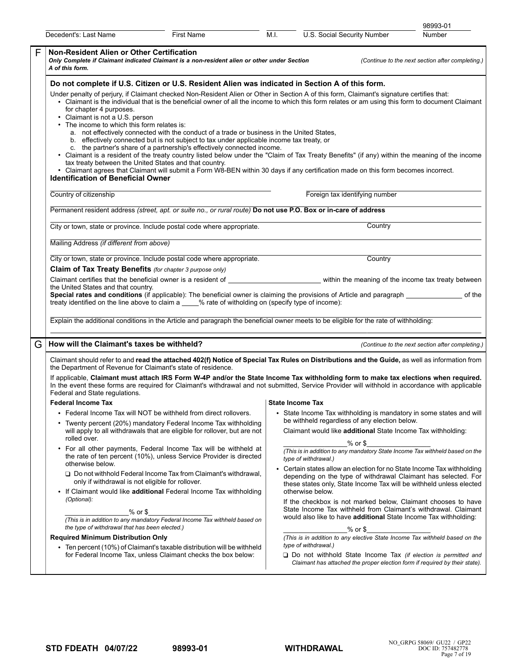|                                                                                                                                                                                                                                                                                                                                                                                                                                                                                                                                                                                                                                                                                                                                                                                                                                                                                                                                                                                                                                                                                                                                        |                                                                                                                                                                                                                                                                                                                                                                                                                                                                                                        |                   |                                                                                                                                                                                                                                     |                                               |            | 98993-01                                                                                                                                                                                            |  |  |
|----------------------------------------------------------------------------------------------------------------------------------------------------------------------------------------------------------------------------------------------------------------------------------------------------------------------------------------------------------------------------------------------------------------------------------------------------------------------------------------------------------------------------------------------------------------------------------------------------------------------------------------------------------------------------------------------------------------------------------------------------------------------------------------------------------------------------------------------------------------------------------------------------------------------------------------------------------------------------------------------------------------------------------------------------------------------------------------------------------------------------------------|--------------------------------------------------------------------------------------------------------------------------------------------------------------------------------------------------------------------------------------------------------------------------------------------------------------------------------------------------------------------------------------------------------------------------------------------------------------------------------------------------------|-------------------|-------------------------------------------------------------------------------------------------------------------------------------------------------------------------------------------------------------------------------------|-----------------------------------------------|------------|-----------------------------------------------------------------------------------------------------------------------------------------------------------------------------------------------------|--|--|
|                                                                                                                                                                                                                                                                                                                                                                                                                                                                                                                                                                                                                                                                                                                                                                                                                                                                                                                                                                                                                                                                                                                                        | Decedent's: Last Name                                                                                                                                                                                                                                                                                                                                                                                                                                                                                  | <b>First Name</b> | M.I.                                                                                                                                                                                                                                | U.S. Social Security Number                   |            | Number                                                                                                                                                                                              |  |  |
| F                                                                                                                                                                                                                                                                                                                                                                                                                                                                                                                                                                                                                                                                                                                                                                                                                                                                                                                                                                                                                                                                                                                                      | Non-Resident Alien or Other Certification<br>Only Complete if Claimant indicated Claimant is a non-resident alien or other under Section<br>A of this form.                                                                                                                                                                                                                                                                                                                                            |                   |                                                                                                                                                                                                                                     |                                               |            | (Continue to the next section after completing.)                                                                                                                                                    |  |  |
| Do not complete if U.S. Citizen or U.S. Resident Alien was indicated in Section A of this form.<br>Under penalty of perjury, if Claimant checked Non-Resident Alien or Other in Section A of this form, Claimant's signature certifies that:<br>• Claimant is the individual that is the beneficial owner of all the income to which this form relates or am using this form to document Claimant<br>for chapter 4 purposes.<br>• Claimant is not a U.S. person<br>• The income to which this form relates is:<br>a. not effectively connected with the conduct of a trade or business in the United States,<br>b. effectively connected but is not subject to tax under applicable income tax treaty, or<br>c. the partner's share of a partnership's effectively connected income.<br>• Claimant is a resident of the treaty country listed below under the "Claim of Tax Treaty Benefits" (if any) within the meaning of the income<br>tax treaty between the United States and that country.<br>• Claimant agrees that Claimant will submit a Form W8-BEN within 30 days if any certification made on this form becomes incorrect. |                                                                                                                                                                                                                                                                                                                                                                                                                                                                                                        |                   |                                                                                                                                                                                                                                     |                                               |            |                                                                                                                                                                                                     |  |  |
|                                                                                                                                                                                                                                                                                                                                                                                                                                                                                                                                                                                                                                                                                                                                                                                                                                                                                                                                                                                                                                                                                                                                        | <b>Identification of Beneficial Owner</b>                                                                                                                                                                                                                                                                                                                                                                                                                                                              |                   |                                                                                                                                                                                                                                     |                                               |            |                                                                                                                                                                                                     |  |  |
|                                                                                                                                                                                                                                                                                                                                                                                                                                                                                                                                                                                                                                                                                                                                                                                                                                                                                                                                                                                                                                                                                                                                        | Country of citizenship                                                                                                                                                                                                                                                                                                                                                                                                                                                                                 |                   |                                                                                                                                                                                                                                     | Foreign tax identifying number                |            |                                                                                                                                                                                                     |  |  |
|                                                                                                                                                                                                                                                                                                                                                                                                                                                                                                                                                                                                                                                                                                                                                                                                                                                                                                                                                                                                                                                                                                                                        | Permanent resident address (street, apt. or suite no., or rural route) Do not use P.O. Box or in-care of address                                                                                                                                                                                                                                                                                                                                                                                       |                   |                                                                                                                                                                                                                                     |                                               |            |                                                                                                                                                                                                     |  |  |
|                                                                                                                                                                                                                                                                                                                                                                                                                                                                                                                                                                                                                                                                                                                                                                                                                                                                                                                                                                                                                                                                                                                                        | City or town, state or province. Include postal code where appropriate.                                                                                                                                                                                                                                                                                                                                                                                                                                |                   |                                                                                                                                                                                                                                     |                                               | Country    |                                                                                                                                                                                                     |  |  |
|                                                                                                                                                                                                                                                                                                                                                                                                                                                                                                                                                                                                                                                                                                                                                                                                                                                                                                                                                                                                                                                                                                                                        | Mailing Address (if different from above)                                                                                                                                                                                                                                                                                                                                                                                                                                                              |                   |                                                                                                                                                                                                                                     |                                               |            |                                                                                                                                                                                                     |  |  |
|                                                                                                                                                                                                                                                                                                                                                                                                                                                                                                                                                                                                                                                                                                                                                                                                                                                                                                                                                                                                                                                                                                                                        | City or town, state or province. Include postal code where appropriate.                                                                                                                                                                                                                                                                                                                                                                                                                                |                   |                                                                                                                                                                                                                                     |                                               | Country    |                                                                                                                                                                                                     |  |  |
|                                                                                                                                                                                                                                                                                                                                                                                                                                                                                                                                                                                                                                                                                                                                                                                                                                                                                                                                                                                                                                                                                                                                        | Claim of Tax Treaty Benefits (for chapter 3 purpose only)<br>the United States and that country.<br>Special rates and conditions (if applicable): The beneficial owner is claiming the provisions of Article and paragraph ___________________ of the<br>treaty identified on the line above to claim a ____% rate of witholding on (specify type of income):<br>Explain the additional conditions in the Article and paragraph the beneficial owner meets to be eligible for the rate of withholding: |                   |                                                                                                                                                                                                                                     |                                               |            |                                                                                                                                                                                                     |  |  |
|                                                                                                                                                                                                                                                                                                                                                                                                                                                                                                                                                                                                                                                                                                                                                                                                                                                                                                                                                                                                                                                                                                                                        |                                                                                                                                                                                                                                                                                                                                                                                                                                                                                                        |                   |                                                                                                                                                                                                                                     |                                               |            |                                                                                                                                                                                                     |  |  |
| G                                                                                                                                                                                                                                                                                                                                                                                                                                                                                                                                                                                                                                                                                                                                                                                                                                                                                                                                                                                                                                                                                                                                      | How will the Claimant's taxes be withheld?                                                                                                                                                                                                                                                                                                                                                                                                                                                             |                   |                                                                                                                                                                                                                                     |                                               |            | (Continue to the next section after completing.)                                                                                                                                                    |  |  |
|                                                                                                                                                                                                                                                                                                                                                                                                                                                                                                                                                                                                                                                                                                                                                                                                                                                                                                                                                                                                                                                                                                                                        | Claimant should refer to and read the attached 402(f) Notice of Special Tax Rules on Distributions and the Guide, as well as information from<br>the Department of Revenue for Claimant's state of residence.                                                                                                                                                                                                                                                                                          |                   |                                                                                                                                                                                                                                     |                                               |            |                                                                                                                                                                                                     |  |  |
|                                                                                                                                                                                                                                                                                                                                                                                                                                                                                                                                                                                                                                                                                                                                                                                                                                                                                                                                                                                                                                                                                                                                        | If applicable, Claimant must attach IRS Form W-4P and/or the State Income Tax withholding form to make tax elections when required.<br>In the event these forms are required for Claimant's withdrawal and not submitted, Service Provider will withhold in accordance with applicable<br>Federal and State regulations.                                                                                                                                                                               |                   |                                                                                                                                                                                                                                     |                                               |            |                                                                                                                                                                                                     |  |  |
|                                                                                                                                                                                                                                                                                                                                                                                                                                                                                                                                                                                                                                                                                                                                                                                                                                                                                                                                                                                                                                                                                                                                        | <b>Federal Income Tax</b>                                                                                                                                                                                                                                                                                                                                                                                                                                                                              |                   | State Income Tax                                                                                                                                                                                                                    |                                               |            |                                                                                                                                                                                                     |  |  |
|                                                                                                                                                                                                                                                                                                                                                                                                                                                                                                                                                                                                                                                                                                                                                                                                                                                                                                                                                                                                                                                                                                                                        | • Federal Income Tax will NOT be withheld from direct rollovers.<br>• Twenty percent (20%) mandatory Federal Income Tax withholding                                                                                                                                                                                                                                                                                                                                                                    |                   |                                                                                                                                                                                                                                     | be withheld regardless of any election below. |            | • State Income Tax withholding is mandatory in some states and will                                                                                                                                 |  |  |
|                                                                                                                                                                                                                                                                                                                                                                                                                                                                                                                                                                                                                                                                                                                                                                                                                                                                                                                                                                                                                                                                                                                                        | will apply to all withdrawals that are eligible for rollover, but are not<br>rolled over.                                                                                                                                                                                                                                                                                                                                                                                                              |                   |                                                                                                                                                                                                                                     |                                               |            | Claimant would like additional State Income Tax withholding:                                                                                                                                        |  |  |
|                                                                                                                                                                                                                                                                                                                                                                                                                                                                                                                                                                                                                                                                                                                                                                                                                                                                                                                                                                                                                                                                                                                                        | • For all other payments, Federal Income Tax will be withheld at<br>the rate of ten percent (10%), unless Service Provider is directed<br>otherwise below.                                                                                                                                                                                                                                                                                                                                             |                   |                                                                                                                                                                                                                                     | type of withdrawal.)                          | $%$ or $$$ | (This is in addition to any mandatory State Income Tax withheld based on the                                                                                                                        |  |  |
|                                                                                                                                                                                                                                                                                                                                                                                                                                                                                                                                                                                                                                                                                                                                                                                                                                                                                                                                                                                                                                                                                                                                        | $\Box$ Do not withhold Federal Income Tax from Claimant's withdrawal,<br>only if withdrawal is not eligible for rollover.<br>• If Claimant would like additional Federal Income Tax withholding                                                                                                                                                                                                                                                                                                        |                   | • Certain states allow an election for no State Income Tax withholding<br>depending on the type of withdrawal Claimant has selected. For<br>these states only, State Income Tax will be withheld unless elected<br>otherwise below. |                                               |            |                                                                                                                                                                                                     |  |  |
|                                                                                                                                                                                                                                                                                                                                                                                                                                                                                                                                                                                                                                                                                                                                                                                                                                                                                                                                                                                                                                                                                                                                        | (Optional):<br>% or \$<br>(This is in addition to any mandatory Federal Income Tax withheld based on<br>the type of withdrawal that has been elected.)                                                                                                                                                                                                                                                                                                                                                 |                   |                                                                                                                                                                                                                                     |                                               | $%$ or $$$ | If the checkbox is not marked below, Claimant chooses to have<br>State Income Tax withheld from Claimant's withdrawal. Claimant<br>would also like to have additional State Income Tax withholding: |  |  |
|                                                                                                                                                                                                                                                                                                                                                                                                                                                                                                                                                                                                                                                                                                                                                                                                                                                                                                                                                                                                                                                                                                                                        | <b>Required Minimum Distribution Only</b><br>• Ten percent (10%) of Claimant's taxable distribution will be withheld                                                                                                                                                                                                                                                                                                                                                                                   |                   |                                                                                                                                                                                                                                     | type of withdrawal.)                          |            | (This is in addition to any elective State Income Tax withheld based on the                                                                                                                         |  |  |
|                                                                                                                                                                                                                                                                                                                                                                                                                                                                                                                                                                                                                                                                                                                                                                                                                                                                                                                                                                                                                                                                                                                                        | for Federal Income Tax, unless Claimant checks the box below:                                                                                                                                                                                                                                                                                                                                                                                                                                          |                   |                                                                                                                                                                                                                                     |                                               |            | $\Box$ Do not withhold State Income Tax (if election is permitted and<br>Claimant has attached the proper election form if required by their state).                                                |  |  |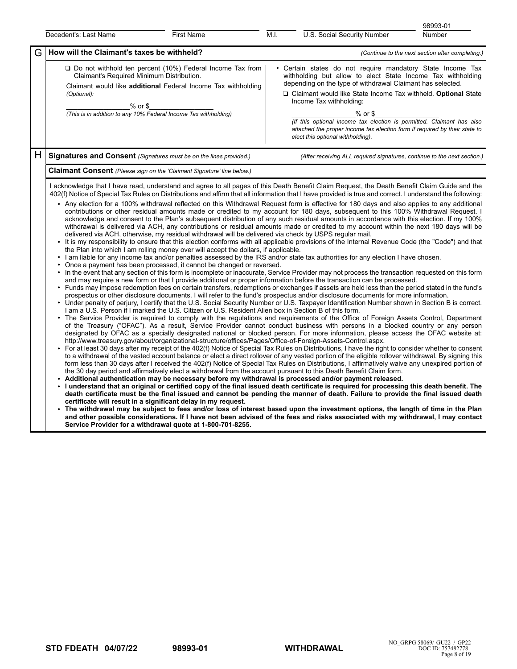|   |                                                                                                                                                                                                                                                                                                                                                                                                                                                                                                                                                                                                                                                                                                                                                                                                                                                                                                                                                                                                                                                                                                                                                                                                                                                                                                                                                                                                                                                                                                                                                                                                                                                                                                                                                                                                                                                                                                                                                                                                                                                                                                                                                                                                                                                                                                                                                                                                                                                                                                                                                                                                                                                                                                                                                                                                                                                                                                                                                                                                                                                                                                                                                                                                                                                                                                                                                                                                                                                                                                                                                                                                                                                                                                                                                                                                                                                                                                                                                                                                                                                                                                                                                                                                                |                                                                                                                                   |                                                                                                                                                                                                                                                                                                                                                                                                                                                                                                |                                                                          | 98993-01                                         |  |
|---|----------------------------------------------------------------------------------------------------------------------------------------------------------------------------------------------------------------------------------------------------------------------------------------------------------------------------------------------------------------------------------------------------------------------------------------------------------------------------------------------------------------------------------------------------------------------------------------------------------------------------------------------------------------------------------------------------------------------------------------------------------------------------------------------------------------------------------------------------------------------------------------------------------------------------------------------------------------------------------------------------------------------------------------------------------------------------------------------------------------------------------------------------------------------------------------------------------------------------------------------------------------------------------------------------------------------------------------------------------------------------------------------------------------------------------------------------------------------------------------------------------------------------------------------------------------------------------------------------------------------------------------------------------------------------------------------------------------------------------------------------------------------------------------------------------------------------------------------------------------------------------------------------------------------------------------------------------------------------------------------------------------------------------------------------------------------------------------------------------------------------------------------------------------------------------------------------------------------------------------------------------------------------------------------------------------------------------------------------------------------------------------------------------------------------------------------------------------------------------------------------------------------------------------------------------------------------------------------------------------------------------------------------------------------------------------------------------------------------------------------------------------------------------------------------------------------------------------------------------------------------------------------------------------------------------------------------------------------------------------------------------------------------------------------------------------------------------------------------------------------------------------------------------------------------------------------------------------------------------------------------------------------------------------------------------------------------------------------------------------------------------------------------------------------------------------------------------------------------------------------------------------------------------------------------------------------------------------------------------------------------------------------------------------------------------------------------------------------------------------------------------------------------------------------------------------------------------------------------------------------------------------------------------------------------------------------------------------------------------------------------------------------------------------------------------------------------------------------------------------------------------------------------------------------------------------------------------------|-----------------------------------------------------------------------------------------------------------------------------------|------------------------------------------------------------------------------------------------------------------------------------------------------------------------------------------------------------------------------------------------------------------------------------------------------------------------------------------------------------------------------------------------------------------------------------------------------------------------------------------------|--------------------------------------------------------------------------|--------------------------------------------------|--|
|   | Decedent's: Last Name                                                                                                                                                                                                                                                                                                                                                                                                                                                                                                                                                                                                                                                                                                                                                                                                                                                                                                                                                                                                                                                                                                                                                                                                                                                                                                                                                                                                                                                                                                                                                                                                                                                                                                                                                                                                                                                                                                                                                                                                                                                                                                                                                                                                                                                                                                                                                                                                                                                                                                                                                                                                                                                                                                                                                                                                                                                                                                                                                                                                                                                                                                                                                                                                                                                                                                                                                                                                                                                                                                                                                                                                                                                                                                                                                                                                                                                                                                                                                                                                                                                                                                                                                                                          | <b>First Name</b>                                                                                                                 | M.I.                                                                                                                                                                                                                                                                                                                                                                                                                                                                                           | U.S. Social Security Number                                              | Number                                           |  |
| G | How will the Claimant's taxes be withheld?                                                                                                                                                                                                                                                                                                                                                                                                                                                                                                                                                                                                                                                                                                                                                                                                                                                                                                                                                                                                                                                                                                                                                                                                                                                                                                                                                                                                                                                                                                                                                                                                                                                                                                                                                                                                                                                                                                                                                                                                                                                                                                                                                                                                                                                                                                                                                                                                                                                                                                                                                                                                                                                                                                                                                                                                                                                                                                                                                                                                                                                                                                                                                                                                                                                                                                                                                                                                                                                                                                                                                                                                                                                                                                                                                                                                                                                                                                                                                                                                                                                                                                                                                                     |                                                                                                                                   |                                                                                                                                                                                                                                                                                                                                                                                                                                                                                                |                                                                          | (Continue to the next section after completing.) |  |
|   | Claimant's Required Minimum Distribution.<br>(Optional):<br>_% or \$_<br>(This is in addition to any 10% Federal Income Tax withholding)                                                                                                                                                                                                                                                                                                                                                                                                                                                                                                                                                                                                                                                                                                                                                                                                                                                                                                                                                                                                                                                                                                                                                                                                                                                                                                                                                                                                                                                                                                                                                                                                                                                                                                                                                                                                                                                                                                                                                                                                                                                                                                                                                                                                                                                                                                                                                                                                                                                                                                                                                                                                                                                                                                                                                                                                                                                                                                                                                                                                                                                                                                                                                                                                                                                                                                                                                                                                                                                                                                                                                                                                                                                                                                                                                                                                                                                                                                                                                                                                                                                                       | $\Box$ Do not withhold ten percent (10%) Federal Income Tax from<br>Claimant would like additional Federal Income Tax withholding | • Certain states do not require mandatory State Income Tax<br>withholding but allow to elect State Income Tax withholding<br>depending on the type of withdrawal Claimant has selected.<br>□ Claimant would like State Income Tax withheld. Optional State<br>Income Tax withholding:<br>$%$ or \$<br>(If this optional income tax election is permitted. Claimant has also<br>attached the proper income tax election form if required by their state to<br>elect this optional withholding). |                                                                          |                                                  |  |
| H | Signatures and Consent (Signatures must be on the lines provided.)                                                                                                                                                                                                                                                                                                                                                                                                                                                                                                                                                                                                                                                                                                                                                                                                                                                                                                                                                                                                                                                                                                                                                                                                                                                                                                                                                                                                                                                                                                                                                                                                                                                                                                                                                                                                                                                                                                                                                                                                                                                                                                                                                                                                                                                                                                                                                                                                                                                                                                                                                                                                                                                                                                                                                                                                                                                                                                                                                                                                                                                                                                                                                                                                                                                                                                                                                                                                                                                                                                                                                                                                                                                                                                                                                                                                                                                                                                                                                                                                                                                                                                                                             |                                                                                                                                   |                                                                                                                                                                                                                                                                                                                                                                                                                                                                                                | (After receiving ALL required signatures, continue to the next section.) |                                                  |  |
|   | <b>Claimant Consent</b> (Please sign on the 'Claimant Signature' line below.)                                                                                                                                                                                                                                                                                                                                                                                                                                                                                                                                                                                                                                                                                                                                                                                                                                                                                                                                                                                                                                                                                                                                                                                                                                                                                                                                                                                                                                                                                                                                                                                                                                                                                                                                                                                                                                                                                                                                                                                                                                                                                                                                                                                                                                                                                                                                                                                                                                                                                                                                                                                                                                                                                                                                                                                                                                                                                                                                                                                                                                                                                                                                                                                                                                                                                                                                                                                                                                                                                                                                                                                                                                                                                                                                                                                                                                                                                                                                                                                                                                                                                                                                  |                                                                                                                                   |                                                                                                                                                                                                                                                                                                                                                                                                                                                                                                |                                                                          |                                                  |  |
|   | I acknowledge that I have read, understand and agree to all pages of this Death Benefit Claim Request, the Death Benefit Claim Guide and the<br>402(f) Notice of Special Tax Rules on Distributions and affirm that all information that I have provided is true and correct. I understand the following:<br>• Any election for a 100% withdrawal reflected on this Withdrawal Request form is effective for 180 days and also applies to any additional<br>contributions or other residual amounts made or credited to my account for 180 days, subsequent to this 100% Withdrawal Request. I<br>acknowledge and consent to the Plan's subsequent distribution of any such residual amounts in accordance with this election. If my 100%<br>withdrawal is delivered via ACH, any contributions or residual amounts made or credited to my account within the next 180 days will be<br>delivered via ACH, otherwise, my residual withdrawal will be delivered via check by USPS regular mail.<br>• It is my responsibility to ensure that this election conforms with all applicable provisions of the Internal Revenue Code (the "Code") and that<br>the Plan into which I am rolling money over will accept the dollars, if applicable.<br>I am liable for any income tax and/or penalties assessed by the IRS and/or state tax authorities for any election I have chosen.<br>• Once a payment has been processed, it cannot be changed or reversed.<br>• In the event that any section of this form is incomplete or inaccurate, Service Provider may not process the transaction requested on this form<br>and may require a new form or that I provide additional or proper information before the transaction can be processed.<br>• Funds may impose redemption fees on certain transfers, redemptions or exchanges if assets are held less than the period stated in the fund's<br>prospectus or other disclosure documents. I will refer to the fund's prospectus and/or disclosure documents for more information.<br>• Under penalty of perjury, I certify that the U.S. Social Security Number or U.S. Taxpayer Identification Number shown in Section B is correct.<br>I am a U.S. Person if I marked the U.S. Citizen or U.S. Resident Alien box in Section B of this form.<br>The Service Provider is required to comply with the regulations and requirements of the Office of Foreign Assets Control, Department<br>of the Treasury ("OFAC"). As a result, Service Provider cannot conduct business with persons in a blocked country or any person<br>designated by OFAC as a specially designated national or blocked person. For more information, please access the OFAC website at:<br>http://www.treasury.gov/about/organizational-structure/offices/Pages/Office-of-Foreign-Assets-Control.aspx.<br>For at least 30 days after my receipt of the 402(f) Notice of Special Tax Rules on Distributions, I have the right to consider whether to consent<br>to a withdrawal of the vested account balance or elect a direct rollover of any vested portion of the eligible rollover withdrawal. By signing this<br>form less than 30 days after I received the 402(f) Notice of Special Tax Rules on Distributions, I affirmatively waive any unexpired portion of<br>the 30 day period and affirmatively elect a withdrawal from the account pursuant to this Death Benefit Claim form.<br>• Additional authentication may be necessary before my withdrawal is processed and/or payment released.<br>I understand that an original or certified copy of the final issued death certificate is required for processing this death benefit. The<br>death certificate must be the final issued and cannot be pending the manner of death. Failure to provide the final issued death<br>certificate will result in a significant delay in my request.<br>The withdrawal may be subject to fees and/or loss of interest based upon the investment options, the length of time in the Plan<br>and other possible considerations. If I have not been advised of the fees and risks associated with my withdrawal, I may contact<br>Service Provider for a withdrawal quote at 1-800-701-8255. |                                                                                                                                   |                                                                                                                                                                                                                                                                                                                                                                                                                                                                                                |                                                                          |                                                  |  |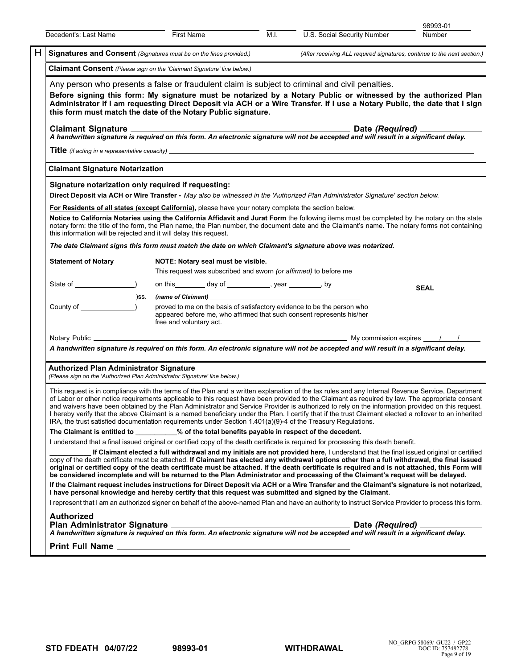| Decedent's: Last Name                                                                                                                                                                                                                                                                                                                                                                                                                                                                                                                                                                                                                                                                                                             |                                                                                                                                                                                                                                                                                                                                                                                                                                                                                                                                                                                                                                                                                                                      | <b>First Name</b>                                                |  | M.I. | U.S. Social Security Number                                                                                                                                                                                                                                                                                                                                                                                                                            | 98993-01<br><b>Number</b>                                                                                                                             |  |  |  |
|-----------------------------------------------------------------------------------------------------------------------------------------------------------------------------------------------------------------------------------------------------------------------------------------------------------------------------------------------------------------------------------------------------------------------------------------------------------------------------------------------------------------------------------------------------------------------------------------------------------------------------------------------------------------------------------------------------------------------------------|----------------------------------------------------------------------------------------------------------------------------------------------------------------------------------------------------------------------------------------------------------------------------------------------------------------------------------------------------------------------------------------------------------------------------------------------------------------------------------------------------------------------------------------------------------------------------------------------------------------------------------------------------------------------------------------------------------------------|------------------------------------------------------------------|--|------|--------------------------------------------------------------------------------------------------------------------------------------------------------------------------------------------------------------------------------------------------------------------------------------------------------------------------------------------------------------------------------------------------------------------------------------------------------|-------------------------------------------------------------------------------------------------------------------------------------------------------|--|--|--|
| H.<br>Signatures and Consent (Signatures must be on the lines provided.)                                                                                                                                                                                                                                                                                                                                                                                                                                                                                                                                                                                                                                                          |                                                                                                                                                                                                                                                                                                                                                                                                                                                                                                                                                                                                                                                                                                                      |                                                                  |  |      |                                                                                                                                                                                                                                                                                                                                                                                                                                                        | (After receiving ALL required signatures, continue to the next section.)                                                                              |  |  |  |
| <b>Claimant Consent</b> (Please sign on the 'Claimant Signature' line below.)                                                                                                                                                                                                                                                                                                                                                                                                                                                                                                                                                                                                                                                     |                                                                                                                                                                                                                                                                                                                                                                                                                                                                                                                                                                                                                                                                                                                      |                                                                  |  |      |                                                                                                                                                                                                                                                                                                                                                                                                                                                        |                                                                                                                                                       |  |  |  |
| Any person who presents a false or fraudulent claim is subject to criminal and civil penalties.<br>Before signing this form: My signature must be notarized by a Notary Public or witnessed by the authorized Plan<br>Administrator if I am requesting Direct Deposit via ACH or a Wire Transfer. If I use a Notary Public, the date that I sign<br>this form must match the date of the Notary Public signature.                                                                                                                                                                                                                                                                                                                 |                                                                                                                                                                                                                                                                                                                                                                                                                                                                                                                                                                                                                                                                                                                      |                                                                  |  |      |                                                                                                                                                                                                                                                                                                                                                                                                                                                        |                                                                                                                                                       |  |  |  |
| <b>Claimant Signature</b>                                                                                                                                                                                                                                                                                                                                                                                                                                                                                                                                                                                                                                                                                                         |                                                                                                                                                                                                                                                                                                                                                                                                                                                                                                                                                                                                                                                                                                                      |                                                                  |  |      | $\label{eq:2.1} \frac{1}{\sqrt{2}}\left(\frac{1}{\sqrt{2}}\right)^{2} \left(\frac{1}{\sqrt{2}}\right)^{2} \left(\frac{1}{\sqrt{2}}\right)^{2} \left(\frac{1}{\sqrt{2}}\right)^{2} \left(\frac{1}{\sqrt{2}}\right)^{2} \left(\frac{1}{\sqrt{2}}\right)^{2} \left(\frac{1}{\sqrt{2}}\right)^{2} \left(\frac{1}{\sqrt{2}}\right)^{2} \left(\frac{1}{\sqrt{2}}\right)^{2} \left(\frac{1}{\sqrt{2}}\right)^{2} \left(\frac{1}{\sqrt{2}}\right)^{2} \left(\$ | Date (Required) ______                                                                                                                                |  |  |  |
|                                                                                                                                                                                                                                                                                                                                                                                                                                                                                                                                                                                                                                                                                                                                   | A handwritten signature is required on this form. An electronic signature will not be accepted and will result in a significant delay.                                                                                                                                                                                                                                                                                                                                                                                                                                                                                                                                                                               |                                                                  |  |      |                                                                                                                                                                                                                                                                                                                                                                                                                                                        |                                                                                                                                                       |  |  |  |
|                                                                                                                                                                                                                                                                                                                                                                                                                                                                                                                                                                                                                                                                                                                                   |                                                                                                                                                                                                                                                                                                                                                                                                                                                                                                                                                                                                                                                                                                                      |                                                                  |  |      | <b>Title</b> (if acting in a representative capacity) <u>entitled</u> and the control of the control of the control of the control of the control of the control of the control of the control of the control of the control of the cont                                                                                                                                                                                                               |                                                                                                                                                       |  |  |  |
| <b>Claimant Signature Notarization</b>                                                                                                                                                                                                                                                                                                                                                                                                                                                                                                                                                                                                                                                                                            |                                                                                                                                                                                                                                                                                                                                                                                                                                                                                                                                                                                                                                                                                                                      |                                                                  |  |      |                                                                                                                                                                                                                                                                                                                                                                                                                                                        |                                                                                                                                                       |  |  |  |
| this information will be rejected and it will delay this request.                                                                                                                                                                                                                                                                                                                                                                                                                                                                                                                                                                                                                                                                 | Signature notarization only required if requesting:<br>Direct Deposit via ACH or Wire Transfer - May also be witnessed in the 'Authorized Plan Administrator Signature' section below.<br>For Residents of all states (except California), please have your notary complete the section below.<br>Notice to California Notaries using the California Affidavit and Jurat Form the following items must be completed by the notary on the state<br>notary form: the title of the form, the Plan name, the Plan number, the document date and the Claimant's name. The notary forms not containing                                                                                                                     |                                                                  |  |      |                                                                                                                                                                                                                                                                                                                                                                                                                                                        |                                                                                                                                                       |  |  |  |
|                                                                                                                                                                                                                                                                                                                                                                                                                                                                                                                                                                                                                                                                                                                                   |                                                                                                                                                                                                                                                                                                                                                                                                                                                                                                                                                                                                                                                                                                                      |                                                                  |  |      | The date Claimant signs this form must match the date on which Claimant's signature above was notarized.                                                                                                                                                                                                                                                                                                                                               |                                                                                                                                                       |  |  |  |
| <b>Statement of Notary</b>                                                                                                                                                                                                                                                                                                                                                                                                                                                                                                                                                                                                                                                                                                        |                                                                                                                                                                                                                                                                                                                                                                                                                                                                                                                                                                                                                                                                                                                      | NOTE: Notary seal must be visible.                               |  |      |                                                                                                                                                                                                                                                                                                                                                                                                                                                        |                                                                                                                                                       |  |  |  |
|                                                                                                                                                                                                                                                                                                                                                                                                                                                                                                                                                                                                                                                                                                                                   |                                                                                                                                                                                                                                                                                                                                                                                                                                                                                                                                                                                                                                                                                                                      | This request was subscribed and sworn (or affirmed) to before me |  |      |                                                                                                                                                                                                                                                                                                                                                                                                                                                        |                                                                                                                                                       |  |  |  |
|                                                                                                                                                                                                                                                                                                                                                                                                                                                                                                                                                                                                                                                                                                                                   |                                                                                                                                                                                                                                                                                                                                                                                                                                                                                                                                                                                                                                                                                                                      | on this _________ day of _____________, year _________, by       |  |      |                                                                                                                                                                                                                                                                                                                                                                                                                                                        | <b>SEAL</b>                                                                                                                                           |  |  |  |
| County of $\qquad \qquad$                                                                                                                                                                                                                                                                                                                                                                                                                                                                                                                                                                                                                                                                                                         |                                                                                                                                                                                                                                                                                                                                                                                                                                                                                                                                                                                                                                                                                                                      | (ss. (name of Claimant)                                          |  |      | proved to me on the basis of satisfactory evidence to be the person who<br>appeared before me, who affirmed that such consent represents his/her                                                                                                                                                                                                                                                                                                       |                                                                                                                                                       |  |  |  |
|                                                                                                                                                                                                                                                                                                                                                                                                                                                                                                                                                                                                                                                                                                                                   |                                                                                                                                                                                                                                                                                                                                                                                                                                                                                                                                                                                                                                                                                                                      | free and voluntary act.                                          |  |      |                                                                                                                                                                                                                                                                                                                                                                                                                                                        |                                                                                                                                                       |  |  |  |
|                                                                                                                                                                                                                                                                                                                                                                                                                                                                                                                                                                                                                                                                                                                                   |                                                                                                                                                                                                                                                                                                                                                                                                                                                                                                                                                                                                                                                                                                                      |                                                                  |  |      |                                                                                                                                                                                                                                                                                                                                                                                                                                                        |                                                                                                                                                       |  |  |  |
|                                                                                                                                                                                                                                                                                                                                                                                                                                                                                                                                                                                                                                                                                                                                   |                                                                                                                                                                                                                                                                                                                                                                                                                                                                                                                                                                                                                                                                                                                      |                                                                  |  |      | A handwritten signature is required on this form. An electronic signature will not be accepted and will result in a significant delay.                                                                                                                                                                                                                                                                                                                 |                                                                                                                                                       |  |  |  |
| <b>Authorized Plan Administrator Signature</b><br>(Please sign on the 'Authorized Plan Administrator Signature' line below.)                                                                                                                                                                                                                                                                                                                                                                                                                                                                                                                                                                                                      |                                                                                                                                                                                                                                                                                                                                                                                                                                                                                                                                                                                                                                                                                                                      |                                                                  |  |      |                                                                                                                                                                                                                                                                                                                                                                                                                                                        |                                                                                                                                                       |  |  |  |
| This request is in compliance with the terms of the Plan and a written explanation of the tax rules and any Internal Revenue Service, Department<br>of Labor or other notice requirements applicable to this request have been provided to the Claimant as required by law. The appropriate consent<br>and waivers have been obtained by the Plan Administrator and Service Provider is authorized to rely on the information provided on this request.<br>I hereby verify that the above Claimant is a named beneficiary under the Plan. I certify that if the trust Claimant elected a rollover to an inherited<br>IRA, the trust satisfied documentation requirements under Section 1.401(a)(9)-4 of the Treasury Regulations. |                                                                                                                                                                                                                                                                                                                                                                                                                                                                                                                                                                                                                                                                                                                      |                                                                  |  |      |                                                                                                                                                                                                                                                                                                                                                                                                                                                        |                                                                                                                                                       |  |  |  |
| The Claimant is entitled to ________% of the total benefits payable in respect of the decedent.                                                                                                                                                                                                                                                                                                                                                                                                                                                                                                                                                                                                                                   |                                                                                                                                                                                                                                                                                                                                                                                                                                                                                                                                                                                                                                                                                                                      |                                                                  |  |      |                                                                                                                                                                                                                                                                                                                                                                                                                                                        |                                                                                                                                                       |  |  |  |
|                                                                                                                                                                                                                                                                                                                                                                                                                                                                                                                                                                                                                                                                                                                                   | I understand that a final issued original or certified copy of the death certificate is required for processing this death benefit.<br>If Claimant elected a full withdrawal and my initials are not provided here, I understand that the final issued original or certified<br>copy of the death certificate must be attached. If Claimant has elected any withdrawal options other than a full withdrawal, the final issued<br>original or certified copy of the death certificate must be attached. If the death certificate is required and is not attached, this Form will<br>be considered incomplete and will be returned to the Plan Administrator and processing of the Claimant's request will be delayed. |                                                                  |  |      |                                                                                                                                                                                                                                                                                                                                                                                                                                                        |                                                                                                                                                       |  |  |  |
|                                                                                                                                                                                                                                                                                                                                                                                                                                                                                                                                                                                                                                                                                                                                   |                                                                                                                                                                                                                                                                                                                                                                                                                                                                                                                                                                                                                                                                                                                      |                                                                  |  |      | I have personal knowledge and hereby certify that this request was submitted and signed by the Claimant.                                                                                                                                                                                                                                                                                                                                               | If the Claimant request includes instructions for Direct Deposit via ACH or a Wire Transfer and the Claimant's signature is not notarized,            |  |  |  |
|                                                                                                                                                                                                                                                                                                                                                                                                                                                                                                                                                                                                                                                                                                                                   |                                                                                                                                                                                                                                                                                                                                                                                                                                                                                                                                                                                                                                                                                                                      |                                                                  |  |      |                                                                                                                                                                                                                                                                                                                                                                                                                                                        | I represent that I am an authorized signer on behalf of the above-named Plan and have an authority to instruct Service Provider to process this form. |  |  |  |
| <b>Authorized</b>                                                                                                                                                                                                                                                                                                                                                                                                                                                                                                                                                                                                                                                                                                                 |                                                                                                                                                                                                                                                                                                                                                                                                                                                                                                                                                                                                                                                                                                                      |                                                                  |  |      |                                                                                                                                                                                                                                                                                                                                                                                                                                                        |                                                                                                                                                       |  |  |  |
|                                                                                                                                                                                                                                                                                                                                                                                                                                                                                                                                                                                                                                                                                                                                   |                                                                                                                                                                                                                                                                                                                                                                                                                                                                                                                                                                                                                                                                                                                      |                                                                  |  |      |                                                                                                                                                                                                                                                                                                                                                                                                                                                        |                                                                                                                                                       |  |  |  |
|                                                                                                                                                                                                                                                                                                                                                                                                                                                                                                                                                                                                                                                                                                                                   |                                                                                                                                                                                                                                                                                                                                                                                                                                                                                                                                                                                                                                                                                                                      |                                                                  |  |      |                                                                                                                                                                                                                                                                                                                                                                                                                                                        |                                                                                                                                                       |  |  |  |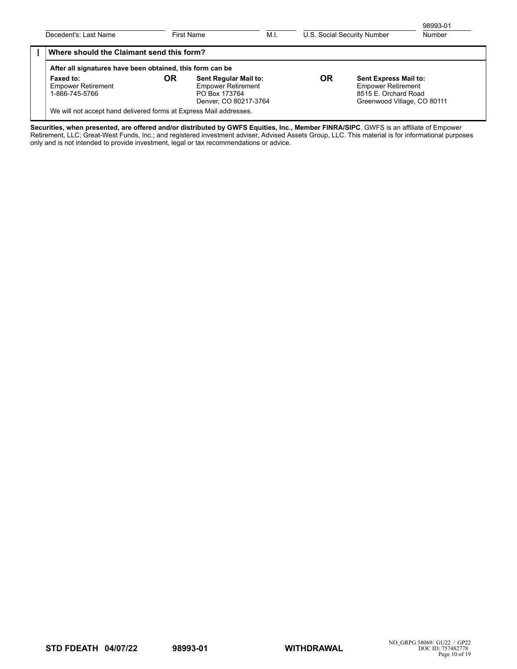| Decedent's: Last Name                                              | First Name |                                                                                                                                                                                                                               | M.I. | U.S. Social Security Number |  | 98993-01<br>Number |
|--------------------------------------------------------------------|------------|-------------------------------------------------------------------------------------------------------------------------------------------------------------------------------------------------------------------------------|------|-----------------------------|--|--------------------|
| Where should the Claimant send this form?                          |            |                                                                                                                                                                                                                               |      |                             |  |                    |
| After all signatures have been obtained, this form can be          |            |                                                                                                                                                                                                                               |      |                             |  |                    |
| Faxed to:<br><b>Empower Retirement</b><br>1-866-745-5766           | OR         | <b>OR</b><br>Sent Regular Mail to:<br><b>Sent Express Mail to:</b><br><b>Empower Retirement</b><br><b>Empower Retirement</b><br>8515 E. Orchard Road<br>PO Box 173764<br>Denver, CO 80217-3764<br>Greenwood Village, CO 80111 |      |                             |  |                    |
| We will not accept hand delivered forms at Express Mail addresses. |            |                                                                                                                                                                                                                               |      |                             |  |                    |

**Securities, when presented, are offered and/or distributed by GWFS Equities, Inc., Member FINRA/SIPC**. GWFS is an affiliate of Empower Retirement, LLC; Great-West Funds, Inc.; and registered investment adviser, Advised Assets Group, LLC. This material is for informational purposes only and is not intended to provide investment, legal or tax recommendations or advice.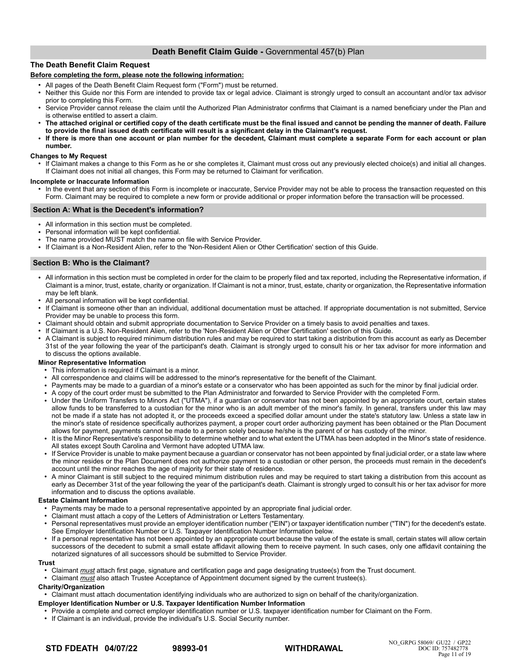# **Death Benefit Claim Guide -** Governmental 457(b) Plan

## **The Death Benefit Claim Request**

## **Before completing the form, please note the following information:**

- All pages of the Death Benefit Claim Request form ("Form") must be returned.
- Neither this Guide nor this Form are intended to provide tax or legal advice. Claimant is strongly urged to consult an accountant and/or tax advisor prior to completing this Form.
- Service Provider cannot release the claim until the Authorized Plan Administrator confirms that Claimant is a named beneficiary under the Plan and is otherwise entitled to assert a claim.
- The attached original or certified copy of the death certificate must be the final issued and cannot be pending the manner of death. Failure **to provide the final issued death certificate will result is a significant delay in the Claimant's request.**
- If there is more than one account or plan number for the decedent, Claimant must complete a separate Form for each account or plan **number.**

## **Changes to My Request**

● If Claimant makes a change to this Form as he or she completes it, Claimant must cross out any previously elected choice(s) and initial all changes. If Claimant does not initial all changes, this Form may be returned to Claimant for verification.

## **Incomplete or Inaccurate Information**

In the event that any section of this Form is incomplete or inaccurate, Service Provider may not be able to process the transaction requested on this Form. Claimant may be required to complete a new form or provide additional or proper information before the transaction will be processed.

## **Section A: What is the Decedent's information?**

- All information in this section must be completed.
- Personal information will be kept confidential.
- The name provided MUST match the name on file with Service Provider.
- If Claimant is a Non-Resident Alien, refer to the 'Non-Resident Alien or Other Certification' section of this Guide.

## **Section B: Who is the Claimant?**

- All information in this section must be completed in order for the claim to be properly filed and tax reported, including the Representative information, if Claimant is a minor, trust, estate, charity or organization. If Claimant is not a minor, trust, estate, charity or organization, the Representative information may be left blank.
- All personal information will be kept confidential.
- If Claimant is someone other than an individual, additional documentation must be attached. If appropriate documentation is not submitted, Service Provider may be unable to process this form.
- Claimant should obtain and submit appropriate documentation to Service Provider on a timely basis to avoid penalties and taxes.
- If Claimant is a U.S. Non-Resident Alien, refer to the 'Non-Resident Alien or Other Certification' section of this Guide.
- A Claimant is subject to required minimum distribution rules and may be required to start taking a distribution from this account as early as December 31st of the year following the year of the participant's death. Claimant is strongly urged to consult his or her tax advisor for more information and to discuss the options available.

## **Minor Representative Information**

- This information is required if Claimant is a minor.
- All correspondence and claims will be addressed to the minor's representative for the benefit of the Claimant.<br>• Payments may be made to a quardian of a minor's estate or a conservator who has been appointed as such f
- Payments may be made to a guardian of a minor's estate or a conservator who has been appointed as such for the minor by final judicial order.
- A copy of the court order must be submitted to the Plan Administrator and forwarded to Service Provider with the completed Form.
- Under the Uniform Transfers to Minors Act ("UTMA"), if a guardian or conservator has not been appointed by an appropriate court, certain states allow funds to be transferred to a custodian for the minor who is an adult member of the minor's family. In general, transfers under this law may not be made if a state has not adopted it, or the proceeds exceed a specified dollar amount under the state's statutory law. Unless a state law in the minor's state of residence specifically authorizes payment, a proper court order authorizing payment has been obtained or the Plan Document allows for payment, payments cannot be made to a person solely because he/she is the parent of or has custody of the minor.
- It is the Minor Representative's responsibility to determine whether and to what extent the UTMA has been adopted in the Minor's state of residence. All states except South Carolina and Vermont have adopted UTMA law.
- If Service Provider is unable to make payment because a guardian or conservator has not been appointed by final judicial order, or a state law where the minor resides or the Plan Document does not authorize payment to a custodian or other person, the proceeds must remain in the decedent's account until the minor reaches the age of majority for their state of residence.
- A minor Claimant is still subject to the required minimum distribution rules and may be required to start taking a distribution from this account as early as December 31st of the year following the year of the participant's death. Claimant is strongly urged to consult his or her tax advisor for more information and to discuss the options available.

## **Estate Claimant Information**

- Payments may be made to a personal representative appointed by an appropriate final judicial order.
- Claimant must attach a copy of the Letters of Administration or Letters Testamentary.
- Personal representatives must provide an employer identification number ("EIN") or taxpayer identification number ("TIN") for the decedent's estate. See Employer Identification Number or U.S. Taxpayer Identification Number Information below.
- If a personal representative has not been appointed by an appropriate court because the value of the estate is small, certain states will allow certain successors of the decedent to submit a small estate affidavit allowing them to receive payment. In such cases, only one affidavit containing the notarized signatures of all successors should be submitted to Service Provider.

#### **Trust**

- Claimant *must* attach first page, signature and certification page and page designating trustee(s) from the Trust document.
- Claimant *must* also attach Trustee Acceptance of Appointment document signed by the current trustee(s).

## **Charity/Organization**

● Claimant must attach documentation identifying individuals who are authorized to sign on behalf of the charity/organization.

## **Employer Identification Number or U.S. Taxpayer Identification Number Information**

- Provide a complete and correct employer identification number or U.S. taxpayer identification number for Claimant on the Form.
- If Claimant is an individual, provide the individual's U.S. Social Security number.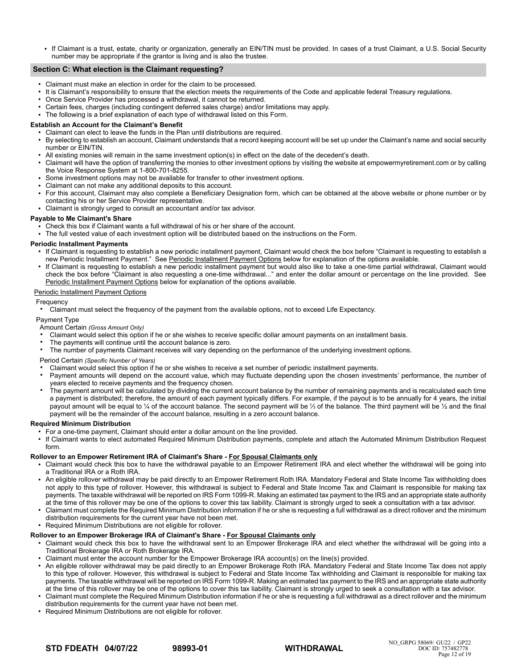If Claimant is a trust, estate, charity or organization, generally an EIN/TIN must be provided. In cases of a trust Claimant, a U.S. Social Security number may be appropriate if the grantor is living and is also the trustee.

## **Section C: What election is the Claimant requesting?**

- Claimant must make an election in order for the claim to be processed.
- It is Claimant's responsibility to ensure that the election meets the requirements of the Code and applicable federal Treasury regulations.
- Once Service Provider has processed a withdrawal, it cannot be returned.
- Certain fees, charges (including contingent deferred sales charge) and/or limitations may apply.
- The following is a brief explanation of each type of withdrawal listed on this Form.

## **Establish an Account for the Claimant's Benefit**

- $\overline{a}$  Claimant can elect to leave the funds in the Plan until distributions are required. ● By selecting to establish an account, Claimant understands that a record keeping account will be set up under the Claimant's name and social security number or EIN/TIN.
- All existing monies will remain in the same investment option(s) in effect on the date of the decedent's death.
- Claimant will have the option of transferring the monies to other investment options by visiting the website at empowermyretirement.com or by calling the Voice Response System at 1-800-701-8255.
- Some investment options may not be available for transfer to other investment options.
- Claimant can not make any additional deposits to this account.
- For this account, Claimant may also complete a Beneficiary Designation form, which can be obtained at the above website or phone number or by contacting his or her Service Provider representative.
- Claimant is strongly urged to consult an accountant and/or tax advisor.

## **Payable to Me Claimant's Share**

- $\cdot$  Check this box if Claimant wants a full withdrawal of his or her share of the account.
- The full vested value of each investment option will be distributed based on the instructions on the Form.

## **Periodic Installment Payments**

- If Claimant is requesting to establish a new periodic installment payment, Claimant would check the box before "Claimant is requesting to establish a new Periodic Installment Payment." See Periodic Installment Payment Options below for explanation of the options available.
- If Claimant is requesting to establish a new periodic installment payment but would also like to take a one-time partial withdrawal, Claimant would check the box before "Claimant is also requesting a one-time withdrawal..." and enter the dollar amount or percentage on the line provided. See Periodic Installment Payment Options below for explanation of the options available.

## Periodic Installment Payment Options

## Frequency

● Claimant must select the frequency of the payment from the available options, not to exceed Life Expectancy.

## Payment Type

- Amount Certain *(Gross Amount Only)*
- Claimant would select this option if he or she wishes to receive specific dollar amount payments on an installment basis.
- The payments will continue until the account balance is zero.
- The number of payments Claimant receives will vary depending on the performance of the underlying investment options.

## Period Certain *(Specific Number of Years)*

- Claimant would select this option if he or she wishes to receive a set number of periodic installment payments.
- Payment amounts will depend on the account value, which may fluctuate depending upon the chosen investments' performance, the number of years elected to receive payments and the frequency chosen.
- The payment amount will be calculated by dividing the current account balance by the number of remaining payments and is recalculated each time a payment is distributed; therefore, the amount of each payment typically differs. For example, if the payout is to be annually for 4 years, the initial payout amount will be equal to ¼ of the account balance. The second payment will be ¼ of the balance. The third payment will be ¼ and the final payment will be the remainder of the account balance, resulting in a zero account balance.

#### **Required Minimum Distribution**

- For a one-time payment, Claimant should enter a dollar amount on the line provided.
- If Claimant wants to elect automated Required Minimum Distribution payments, complete and attach the Automated Minimum Distribution Request form.

#### **Rollover to an Empower Retirement IRA of Claimant's Share - For Spousal Claimants only**

- Claimant would check this box to have the withdrawal payable to an Empower Retirement IRA and elect whether the withdrawal will be going into a Traditional IRA or a Roth IRA.
- An eligible rollover withdrawal may be paid directly to an Empower Retirement Roth IRA. Mandatory Federal and State Income Tax withholding does not apply to this type of rollover. However, this withdrawal is subject to Federal and State Income Tax and Claimant is responsible for making tax payments. The taxable withdrawal will be reported on IRS Form 1099-R. Making an estimated tax payment to the IRS and an appropriate state authority at the time of this rollover may be one of the options to cover this tax liability. Claimant is strongly urged to seek a consultation with a tax advisor.
- Claimant must complete the Required Minimum Distribution information if he or she is requesting a full withdrawal as a direct rollover and the minimum distribution requirements for the current year have not been met.
- Required Minimum Distributions are not eligible for rollover.

# **Rollover to an Empower Brokerage IRA of Claimant's Share - For Spousal Claimants only**

- Claimant would check this box to have the withdrawal sent to an Empower Brokerage IRA and elect whether the withdrawal will be going into a Traditional Brokerage IRA or Roth Brokerage IRA.
- Claimant must enter the account number for the Empower Brokerage IRA account(s) on the line(s) provided.
- An eligible rollover withdrawal may be paid directly to an Empower Brokerage Roth IRA. Mandatory Federal and State Income Tax does not apply to this type of rollover. However, this withdrawal is subject to Federal and State Income Tax withholding and Claimant is responsible for making tax payments. The taxable withdrawal will be reported on IRS Form 1099-R. Making an estimated tax payment to the IRS and an appropriate state authority at the time of this rollover may be one of the options to cover this tax liability. Claimant is strongly urged to seek a consultation with a tax advisor.
- Claimant must complete the Required Minimum Distribution information if he or she is requesting a full withdrawal as a direct rollover and the minimum distribution requirements for the current year have not been met.
- Required Minimum Distributions are not eligible for rollover.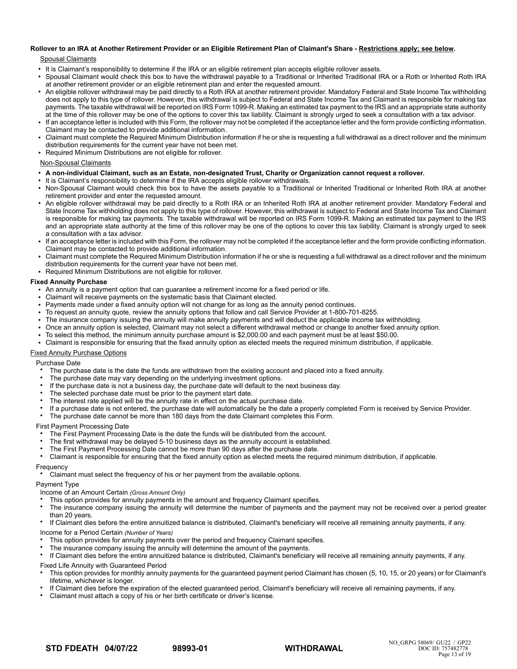# **Rollover to an IRA at Another Retirement Provider or an Eligible Retirement Plan of Claimant's Share - Restrictions apply; see below.**

## Spousal Claimants

- It is Claimant's responsibility to determine if the IRA or an eligible retirement plan accepts eligible rollover assets.
- Spousal Claimant would check this box to have the withdrawal payable to a Traditional or Inherited Traditional IRA or a Roth or Inherited Roth IRA at another retirement provider or an eligible retirement plan and enter the requested amount.
- An eligible rollover withdrawal may be paid directly to a Roth IRA at another retirement provider. Mandatory Federal and State Income Tax withholding does not apply to this type of rollover. However, this withdrawal is subject to Federal and State Income Tax and Claimant is responsible for making tax payments. The taxable withdrawal will be reported on IRS Form 1099-R. Making an estimated tax payment to the IRS and an appropriate state authority at the time of this rollover may be one of the options to cover this tax liability. Claimant is strongly urged to seek a consultation with a tax advisor.
- If an acceptance letter is included with this Form, the rollover may not be completed if the acceptance letter and the form provide conflicting information. Claimant may be contacted to provide additional information.
- Claimant must complete the Required Minimum Distribution information if he or she is requesting a full withdrawal as a direct rollover and the minimum distribution requirements for the current year have not been met.
- Required Minimum Distributions are not eligible for rollover.

## Non-Spousal Claimants

- **A non-individual Claimant, such as an Estate, non-designated Trust, Charity or Organization cannot request a rollover.**
- It is Claimant's responsibility to determine if the IRA accepts eligible rollover withdrawals.
- Non-Spousal Claimant would check this box to have the assets payable to a Traditional or Inherited Traditional or Inherited Roth IRA at another retirement provider and enter the requested amount.
- An eligible rollover withdrawal may be paid directly to a Roth IRA or an Inherited Roth IRA at another retirement provider. Mandatory Federal and State Income Tax withholding does not apply to this type of rollover. However, this withdrawal is subject to Federal and State Income Tax and Claimant is responsible for making tax payments. The taxable withdrawal will be reported on IRS Form 1099-R. Making an estimated tax payment to the IRS and an appropriate state authority at the time of this rollover may be one of the options to cover this tax liability. Claimant is strongly urged to seek a consultation with a tax advisor.
- If an acceptance letter is included with this Form, the rollover may not be completed if the acceptance letter and the form provide conflicting information. Claimant may be contacted to provide additional information.
- Claimant must complete the Required Minimum Distribution information if he or she is requesting a full withdrawal as a direct rollover and the minimum distribution requirements for the current year have not been met.
- Required Minimum Distributions are not eligible for rollover.

## **Fixed Annuity Purchase**

- An annuity is a payment option that can guarantee a retirement income for a fixed period or life.
- Claimant will receive payments on the systematic basis that Claimant elected.
- Payments made under a fixed annuity option will not change for as long as the annuity period continues.
- To request an annuity quote, review the annuity options that follow and call Service Provider at 1-800-701-8255.
- The insurance company issuing the annuity will make annuity payments and will deduct the applicable income tax withholding.
- Once an annuity option is selected, Claimant may not select a different withdrawal method or change to another fixed annuity option.
- To select this method, the minimum annuity purchase amount is \$2,000.00 and each payment must be at least \$50.00.
- Claimant is responsible for ensuring that the fixed annuity option as elected meets the required minimum distribution, if applicable.

## Fixed Annuity Purchase Options

Purchase Date

- The purchase date is the date the funds are withdrawn from the existing account and placed into a fixed annuity.
- The purchase date may vary depending on the underlying investment options.
- If the purchase date is not a business day, the purchase date will default to the next business day.
- The selected purchase date must be prior to the payment start date.
- The interest rate applied will be the annuity rate in effect on the actual purchase date.
- If a purchase date is not entered, the purchase date will automatically be the date a properly completed Form is received by Service Provider.
- The purchase date cannot be more than 180 days from the date Claimant completes this Form.

## First Payment Processing Date

- The First Payment Processing Date is the date the funds will be distributed from the account.
- The first withdrawal may be delayed 5-10 business days as the annuity account is established.
- The First Payment Processing Date cannot be more than 90 days after the purchase date.<br>• Claimant is responsible for ensuring that the fixed annuity ortion as elected meets the requ
- Claimant is responsible for ensuring that the fixed annuity option as elected meets the required minimum distribution, if applicable.

## **Frequency**

Claimant must select the frequency of his or her payment from the available options.

## Payment Type

- Income of an Amount Certain *(Gross Amount Only)*
- This option provides for annuity payments in the amount and frequency Claimant specifies.
- The insurance company issuing the annuity will determine the number of payments and the payment may not be received over a period greater than 20 years.
- If Claimant dies before the entire annuitized balance is distributed, Claimant's beneficiary will receive all remaining annuity payments, if any.

Income for a Period Certain *(Number of Years)*

- This option provides for annuity payments over the period and frequency Claimant specifies.
- The insurance company issuing the annuity will determine the amount of the payments.

● If Claimant dies before the entire annuitized balance is distributed, Claimant's beneficiary will receive all remaining annuity payments, if any.

## Fixed Life Annuity with Guaranteed Period

- This option provides for monthly annuity payments for the guaranteed payment period Claimant has chosen (5, 10, 15, or 20 years) or for Claimant's lifetime, whichever is longer.
- If Claimant dies before the expiration of the elected guaranteed period, Claimant's beneficiary will receive all remaining payments, if any.
- Claimant must attach a copy of his or her birth certificate or driver's license.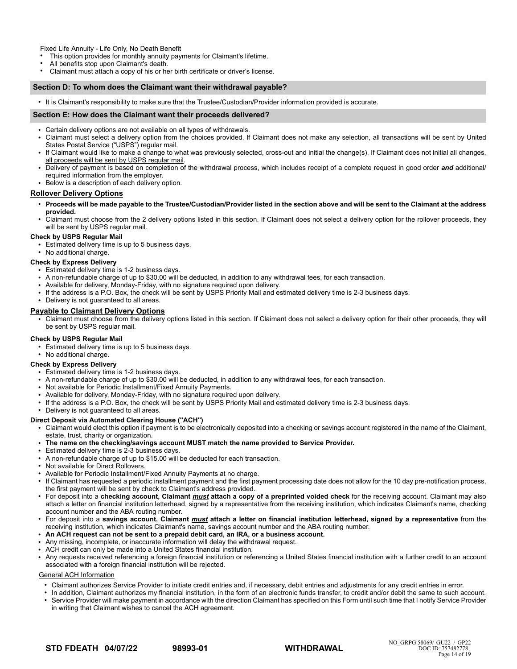Fixed Life Annuity - Life Only, No Death Benefit

This option provides for monthly annuity payments for Claimant's lifetime.

- All benefits stop upon Claimant's death.
- Claimant must attach a copy of his or her birth certificate or driver's license.

#### **Section D: To whom does the Claimant want their withdrawal payable?**

● It is Claimant's responsibility to make sure that the Trustee/Custodian/Provider information provided is accurate.

#### **Section E: How does the Claimant want their proceeds delivered?**

- Certain delivery options are not available on all types of withdrawals.
- Claimant must select a delivery option from the choices provided. If Claimant does not make any selection, all transactions will be sent by United States Postal Service ("USPS") regular mail.
- If Claimant would like to make a change to what was previously selected, cross-out and initial the change(s). If Claimant does not initial all changes, all proceeds will be sent by USPS regular mail.
- Delivery of payment is based on completion of the withdrawal process, which includes receipt of a complete request in good order *and* additional/ required information from the employer.
- Below is a description of each delivery option.

## **Rollover Delivery Options**

- **Proceeds will be made payable to the Trustee/Custodian/Provider listed in the section above and will be sent to the Claimant at the address provided.**
- Claimant must choose from the 2 delivery options listed in this section. If Claimant does not select a delivery option for the rollover proceeds, they will be sent by USPS regular mail.

#### **Check by USPS Regular Mail**

**•** Estimated delivery time is up to 5 business days.

• No additional charge.

#### **Check by Express Delivery**

- Estimated delivery time is 1-2 business days.
- A non-refundable charge of up to \$30.00 will be deducted, in addition to any withdrawal fees, for each transaction.
- Available for delivery, Monday-Friday, with no signature required upon delivery.
- If the address is a P.O. Box, the check will be sent by USPS Priority Mail and estimated delivery time is 2-3 business days.
- Delivery is not guaranteed to all areas.

#### **Payable to Claimant Delivery Options**

● Claimant must choose from the delivery options listed in this section. If Claimant does not select a delivery option for their other proceeds, they will be sent by USPS regular mail.

#### **Check by USPS Regular Mail**

- Estimated delivery time is up to 5 business days.
- No additional charge.

#### **Check by Express Delivery**

- Estimated delivery time is 1-2 business days.
- A non-refundable charge of up to \$30.00 will be deducted, in addition to any withdrawal fees, for each transaction.
- Not available for Periodic Installment/Fixed Annuity Payments.
- Available for delivery, Monday-Friday, with no signature required upon delivery.
- If the address is a P.O. Box, the check will be sent by USPS Priority Mail and estimated delivery time is 2-3 business days.
- Delivery is not quaranteed to all areas.

## **Direct Deposit via Automated Clearing House ("ACH")**

- Claimant would elect this option if payment is to be electronically deposited into a checking or savings account registered in the name of the Claimant, estate, trust, charity or organization.
- The name on the checking/savings account MUST match the name provided to Service Provider.
- Estimated delivery time is 2-3 business days.
- A non-refundable charge of up to \$15.00 will be deducted for each transaction.
- Not available for Direct Rollovers.
- Available for Periodic Installment/Fixed Annuity Payments at no charge.
- If Claimant has requested a periodic installment payment and the first payment processing date does not allow for the 10 day pre-notification process, the first payment will be sent by check to Claimant's address provided.
- For deposit into a **checking account, Claimant** *must* **attach a copy of a preprinted voided check** for the receiving account. Claimant may also attach a letter on financial institution letterhead, signed by a representative from the receiving institution, which indicates Claimant's name, checking account number and the ABA routing number.
- For deposit into a **savings account, Claimant** *must* **attach a letter on financial institution letterhead, signed by a representative** from the receiving institution, which indicates Claimant's name, savings account number and the ABA routing number.
- **An ACH request can not be sent to a prepaid debit card, an IRA, or a business account.**
- Any missing, incomplete, or inaccurate information will delay the withdrawal request.
- ACH credit can only be made into a United States financial institution.
- Any requests received referencing a foreign financial institution or referencing a United States financial institution with a further credit to an account associated with a foreign financial institution will be rejected.

#### General ACH Information

- Claimant authorizes Service Provider to initiate credit entries and, if necessary, debit entries and adjustments for any credit entries in error.
- In addition, Claimant authorizes my financial institution, in the form of an electronic funds transfer, to credit and/or debit the same to such account. • Service Provider will make payment in accordance with the direction Claimant has specified on this Form until such time that I notify Service Provider
- in writing that Claimant wishes to cancel the ACH agreement.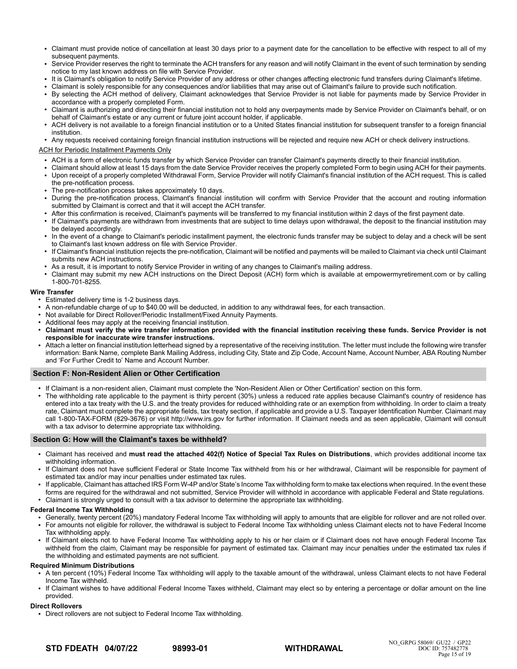- Claimant must provide notice of cancellation at least 30 days prior to a payment date for the cancellation to be effective with respect to all of my subsequent payments.
- Service Provider reserves the right to terminate the ACH transfers for any reason and will notify Claimant in the event of such termination by sending notice to my last known address on file with Service Provider.
- It is Claimant's obligation to notify Service Provider of any address or other changes affecting electronic fund transfers during Claimant's lifetime.
- Claimant is solely responsible for any consequences and/or liabilities that may arise out of Claimant's failure to provide such notification.
- By selecting the ACH method of delivery, Claimant acknowledges that Service Provider is not liable for payments made by Service Provider in accordance with a properly completed Form.
- Claimant is authorizing and directing their financial institution not to hold any overpayments made by Service Provider on Claimant's behalf, or on behalf of Claimant's estate or any current or future joint account holder, if applicable.
- ACH delivery is not available to a foreign financial institution or to a United States financial institution for subsequent transfer to a foreign financial institution.

Any requests received containing foreign financial institution instructions will be rejected and require new ACH or check delivery instructions.

## ACH for Periodic Installment Payments Only

- ACH is a form of electronic funds transfer by which Service Provider can transfer Claimant's payments directly to their financial institution.
- Claimant should allow at least 15 days from the date Service Provider receives the properly completed Form to begin using ACH for their payments.
- Upon receipt of a properly completed Withdrawal Form, Service Provider will notify Claimant's financial institution of the ACH request. This is called the pre-notification process.
- The pre-notification process takes approximately 10 days.
- During the pre-notification process, Claimant's financial institution will confirm with Service Provider that the account and routing information submitted by Claimant is correct and that it will accept the ACH transfer.
- After this confirmation is received, Claimant's payments will be transferred to my financial institution within 2 days of the first payment date.
- If Claimant's payments are withdrawn from investments that are subject to time delays upon withdrawal, the deposit to the financial institution may be delayed accordingly.
- In the event of a change to Claimant's periodic installment payment, the electronic funds transfer may be subject to delay and a check will be sent to Claimant's last known address on file with Service Provider.
- If Claimant's financial institution rejects the pre-notification, Claimant will be notified and payments will be mailed to Claimant via check until Claimant submits new ACH instructions.
- As a result, it is important to notify Service Provider in writing of any changes to Claimant's mailing address.
- Claimant may submit my new ACH instructions on the Direct Deposit (ACH) form which is available at empowermyretirement.com or by calling 1-800-701-8255.

## **Wire Transfer**

- Estimated delivery time is 1-2 business days.
- A non-refundable charge of up to \$40.00 will be deducted, in addition to any withdrawal fees, for each transaction.
- Not available for Direct Rollover/Periodic Installment/Fixed Annuity Payments.
- Additional fees may apply at the receiving financial institution.
- **Claimant must verify the wire transfer information provided with the financial institution receiving these funds. Service Provider is not responsible for inaccurate wire transfer instructions.**
- Attach a letter on financial institution letterhead signed by a representative of the receiving institution. The letter must include the following wire transfer information: Bank Name, complete Bank Mailing Address, including City, State and Zip Code, Account Name, Account Number, ABA Routing Number and 'For Further Credit to' Name and Account Number.

## **Section F: Non-Resident Alien or Other Certification**

- If Claimant is a non-resident alien, Claimant must complete the 'Non-Resident Alien or Other Certification' section on this form.
- The withholding rate applicable to the payment is thirty percent (30%) unless a reduced rate applies because Claimant's country of residence has entered into a tax treaty with the U.S. and the treaty provides for reduced withholding rate or an exemption from withholding. In order to claim a treaty rate, Claimant must complete the appropriate fields, tax treaty section, if applicable and provide a U.S. Taxpayer Identification Number. Claimant may call 1-800-TAX-FORM (829-3676) or visit http://www.irs.gov for further information. If Claimant needs and as seen applicable, Claimant will consult with a tax advisor to determine appropriate tax withholding.

#### **Section G: How will the Claimant's taxes be withheld?**

- Claimant has received and **must read the attached 402(f) Notice of Special Tax Rules on Distributions**, which provides additional income tax withholding information.
- If Claimant does not have sufficient Federal or State Income Tax withheld from his or her withdrawal, Claimant will be responsible for payment of estimated tax and/or may incur penalties under estimated tax rules.
- If applicable, Claimant has attached IRS Form W-4P and/or State's Income Tax withholding form to make tax elections when required. In the event these forms are required for the withdrawal and not submitted, Service Provider will withhold in accordance with applicable Federal and State regulations.
- Claimant is strongly urged to consult with a tax advisor to determine the appropriate tax withholding.

## **Federal Income Tax Withholding**

- Generally, twenty percent (20%) mandatory Federal Income Tax withholding will apply to amounts that are eligible for rollover and are not rolled over.
- For amounts not eligible for rollover, the withdrawal is subject to Federal Income Tax withholding unless Claimant elects not to have Federal Income Tax withholding apply.
- If Claimant elects not to have Federal Income Tax withholding apply to his or her claim or if Claimant does not have enough Federal Income Tax withheld from the claim, Claimant may be responsible for payment of estimated tax. Claimant may incur penalties under the estimated tax rules if the withholding and estimated payments are not sufficient.

#### **Required Minimum Distributions**

- A ten percent (10%) Federal Income Tax withholding will apply to the taxable amount of the withdrawal, unless Claimant elects to not have Federal Income Tax withheld.
- If Claimant wishes to have additional Federal Income Taxes withheld, Claimant may elect so by entering a percentage or dollar amount on the line provided.

#### **Direct Rollovers**

• Direct rollovers are not subject to Federal Income Tax withholding.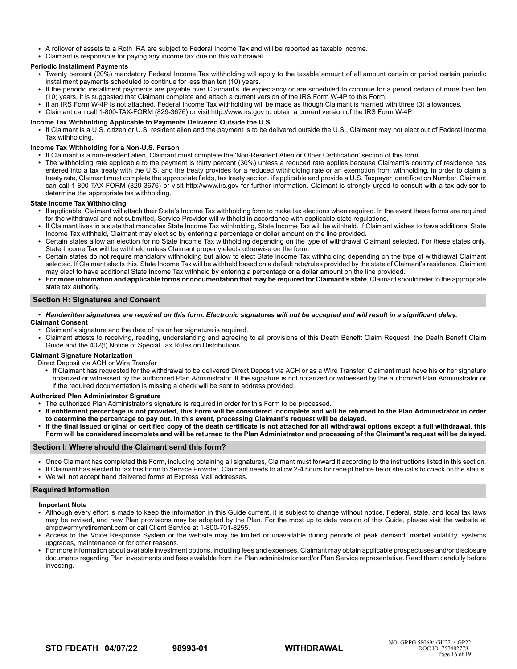- A rollover of assets to a Roth IRA are subject to Federal Income Tax and will be reported as taxable income.
- Claimant is responsible for paying any income tax due on this withdrawal.

## **Periodic Installment Payments**

- Twenty percent (20%) mandatory Federal Income Tax withholding will apply to the taxable amount of all amount certain or period certain periodic installment payments scheduled to continue for less than ten (10) years.
- If the periodic installment payments are payable over Claimant's life expectancy or are scheduled to continue for a period certain of more than ten (10) years, it is suggested that Claimant complete and attach a current version of the IRS Form W-4P to this Form.
- If an IRS Form W-4P is not attached, Federal Income Tax withholding will be made as though Claimant is married with three (3) allowances.
- Claimant can call 1-800-TAX-FORM (829-3676) or visit http://www.irs.gov to obtain a current version of the IRS Form W-4P.

## **Income Tax Withholding Applicable to Payments Delivered Outside the U.S.**

If Claimant is a U.S. citizen or U.S. resident alien and the payment is to be delivered outside the U.S., Claimant may not elect out of Federal Income Tax withholding.

## **Income Tax Withholding for a Non-U.S. Person**

- If Claimant is a non-resident alien, Claimant must complete the 'Non-Resident Alien or Other Certification' section of this form.
- The withholding rate applicable to the payment is thirty percent (30%) unless a reduced rate applies because Claimant's country of residence has entered into a tax treaty with the U.S. and the treaty provides for a reduced withholding rate or an exemption from withholding. in order to claim a treaty rate, Claimant must complete the appropriate fields, tax treaty section, if applicable and provide a U.S. Taxpayer Identification Number. Claimant can call 1-800-TAX-FORM (829-3676) or visit http://www.irs.gov for further information. Claimant is strongly urged to consult with a tax advisor to determine the appropriate tax withholding.

## **State Income Tax Withholding**

- If applicable, Claimant will attach their State's Income Tax withholding form to make tax elections when required. In the event these forms are required for the withdrawal and not submitted, Service Provider will withhold in accordance with applicable state regulations.
- If Claimant lives in a state that mandates State Income Tax withholding, State Income Tax will be withheld. If Claimant wishes to have additional State Income Tax withheld, Claimant may elect so by entering a percentage or dollar amount on the line provided.
- Certain states allow an election for no State Income Tax withholding depending on the type of withdrawal Claimant selected. For these states only, State Income Tax will be withheld unless Claimant properly elects otherwise on the form.
- Certain states do not require mandatory withholding but allow to elect State Income Tax withholding depending on the type of withdrawal Claimant selected. If Claimant elects this, State Income Tax will be withheld based on a default rate/rules provided by the state of Claimant's residence. Claimant may elect to have additional State Income Tax withheld by entering a percentage or a dollar amount on the line provided.
- For more information and applicable forms or documentation that may be required for Claimant's state, Claimant should refer to the appropriate state tax authority.

## **Section H: Signatures and Consent**

- *Handwritten signatures are required on this form. Electronic signatures will not be accepted and will result in a significant delay.* **Claimant Consent**
- Claimant's signature and the date of his or her signature is required.
- Claimant attests to receiving, reading, understanding and agreeing to all provisions of this Death Benefit Claim Request, the Death Benefit Claim Guide and the 402(f) Notice of Special Tax Rules on Distributions.

## **Claimant Signature Notarization**

Direct Deposit via ACH or Wire Transfer

If Claimant has requested for the withdrawal to be delivered Direct Deposit via ACH or as a Wire Transfer, Claimant must have his or her signature notarized or witnessed by the authorized Plan Administrator. If the signature is not notarized or witnessed by the authorized Plan Administrator or if the required documentation is missing a check will be sent to address provided.

#### **Authorized Plan Administrator Signature**

- The authorized Plan Administrator's signature is required in order for this Form to be processed.<br>• If entitlement percentage is not provided, this Form will be considered incomplete and will
- If entitlement percentage is not provided, this Form will be considered incomplete and will be returned to the Plan Administrator in order **to determine the percentage to pay out. In this event, processing Claimant's request will be delayed.**
- If the final issued original or certified copy of the death certificate is not attached for all withdrawal options except a full withdrawal, this **Form will be considered incomplete and will be returned to the Plan Administrator and processing of the Claimant's request will be delayed.**

## **Section I: Where should the Claimant send this form?**

- Once Claimant has completed this Form, including obtaining all signatures, Claimant must forward it according to the instructions listed in this section.
- If Claimant has elected to fax this Form to Service Provider, Claimant needs to allow 2-4 hours for receipt before he or she calls to check on the status.
- We will not accept hand delivered forms at Express Mail addresses.

## **Required Information**

#### **Important Note**

- Although every effort is made to keep the information in this Guide current, it is subject to change without notice. Federal, state, and local tax laws may be revised, and new Plan provisions may be adopted by the Plan. For the most up to date version of this Guide, please visit the website at empowermyretirement.com or call Client Service at 1-800-701-8255.
- Access to the Voice Response System or the website may be limited or unavailable during periods of peak demand, market volatility, systems upgrades, maintenance or for other reasons.
- For more information about available investment options, including fees and expenses, Claimant may obtain applicable prospectuses and/or disclosure documents regarding Plan investments and fees available from the Plan administrator and/or Plan Service representative. Read them carefully before investing.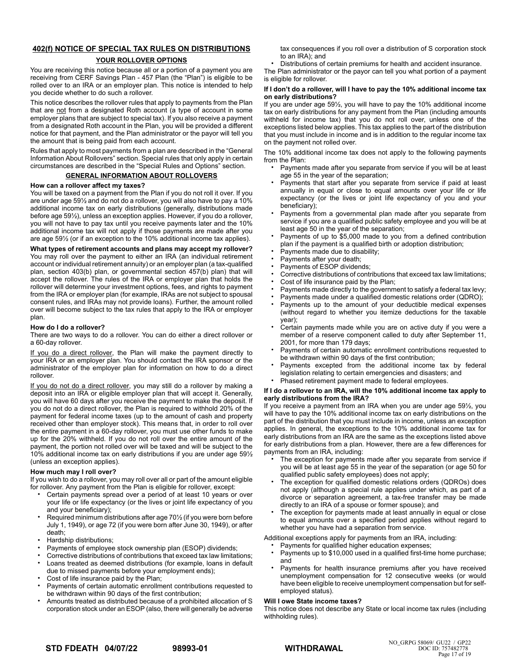# **402(f) NOTICE OF SPECIAL TAX RULES ON DISTRIBUTIONS**

## **YOUR ROLLOVER OPTIONS**

You are receiving this notice because all or a portion of a payment you are receiving from CERF Savings Plan - 457 Plan (the "Plan") is eligible to be rolled over to an IRA or an employer plan. This notice is intended to help you decide whether to do such a rollover.

This notice describes the rollover rules that apply to payments from the Plan that are not from a designated Roth account (a type of account in some employer plans that are subject to special tax). If you also receive a payment from a designated Roth account in the Plan, you will be provided a different notice for that payment, and the Plan administrator or the payor will tell you the amount that is being paid from each account.

Rules that apply to most payments from a plan are described in the "General Information About Rollovers" section. Special rules that only apply in certain circumstances are described in the "Special Rules and Options" section.

## **GENERAL INFORMATION ABOUT ROLLOVERS**

## **How can a rollover affect my taxes?**

You will be taxed on a payment from the Plan if you do not roll it over. If you are under age 59½ and do not do a rollover, you will also have to pay a 10% additional income tax on early distributions (generally, distributions made before age 59½), unless an exception applies. However, if you do a rollover, you will not have to pay tax until you receive payments later and the 10% additional income tax will not apply if those payments are made after you are age 59½ (or if an exception to the 10% additional income tax applies).

**What types of retirement accounts and plans may accept my rollover?** You may roll over the payment to either an IRA (an individual retirement account or individual retirement annuity) or an employer plan (a tax-qualified plan, section 403(b) plan, or governmental section 457(b) plan) that will accept the rollover. The rules of the IRA or employer plan that holds the rollover will determine your investment options, fees, and rights to payment from the IRA or employer plan (for example, IRAs are not subject to spousal consent rules, and IRAs may not provide loans). Further, the amount rolled over will become subject to the tax rules that apply to the IRA or employer plan.

## **How do I do a rollover?**

There are two ways to do a rollover. You can do either a direct rollover or a 60-day rollover.

If you do a direct rollover, the Plan will make the payment directly to your IRA or an employer plan. You should contact the IRA sponsor or the administrator of the employer plan for information on how to do a direct rollover.

If you do not do a direct rollover, you may still do a rollover by making a deposit into an IRA or eligible employer plan that will accept it. Generally, you will have 60 days after you receive the payment to make the deposit. If you do not do a direct rollover, the Plan is required to withhold 20% of the payment for federal income taxes (up to the amount of cash and property received other than employer stock). This means that, in order to roll over the entire payment in a 60-day rollover, you must use other funds to make up for the 20% withheld. If you do not roll over the entire amount of the payment, the portion not rolled over will be taxed and will be subject to the 10% additional income tax on early distributions if you are under age 59½ (unless an exception applies).

## **How much may I roll over?**

If you wish to do a rollover, you may roll over all or part of the amount eligible for rollover. Any payment from the Plan is eligible for rollover, except:

- Certain payments spread over a period of at least 10 years or over your life or life expectancy (or the lives or joint life expectancy of you and your beneficiary);
- Required minimum distributions after age 70<sup>1</sup>/<sub>2</sub> (if you were born before July 1, 1949), or age 72 (if you were born after June 30, 1949), or after death;
- Hardship distributions;
- Payments of employee stock ownership plan (ESOP) dividends;
- Corrective distributions of contributions that exceed tax law limitations; • Loans treated as deemed distributions (for example, loans in default
- due to missed payments before your employment ends);
- Cost of life insurance paid by the Plan;
- Payments of certain automatic enrollment contributions requested to be withdrawn within 90 days of the first contribution;
- Amounts treated as distributed because of a prohibited allocation of S corporation stock under an ESOP (also, there will generally be adverse

tax consequences if you roll over a distribution of S corporation stock to an IRA); and

• Distributions of certain premiums for health and accident insurance.

The Plan administrator or the payor can tell you what portion of a payment is eligible for rollover.

## **If I don't do a rollover, will I have to pay the 10% additional income tax on early distributions?**

If you are under age 59½, you will have to pay the 10% additional income tax on early distributions for any payment from the Plan (including amounts withheld for income tax) that you do not roll over, unless one of the exceptions listed below applies. This tax applies to the part of the distribution that you must include in income and is in addition to the regular income tax on the payment not rolled over.

The 10% additional income tax does not apply to the following payments from the Plan:

- Payments made after you separate from service if you will be at least age 55 in the year of the separation;
- Payments that start after you separate from service if paid at least annually in equal or close to equal amounts over your life or life expectancy (or the lives or joint life expectancy of you and your beneficiary);
- Payments from a governmental plan made after you separate from service if you are a qualified public safety employee and you will be at least age 50 in the year of the separation;
- Payments of up to \$5,000 made to you from a defined contribution plan if the payment is a qualified birth or adoption distribution;
- Payments made due to disability;
- Payments after your death;
- Payments of ESOP dividends;
- Corrective distributions of contributions that exceed tax law limitations;
- Cost of life insurance paid by the Plan;
- Payments made directly to the government to satisfy a federal tax levy;
- Payments made under a qualified domestic relations order (QDRO);
- Payments up to the amount of your deductible medical expenses (without regard to whether you itemize deductions for the taxable year);
- Certain payments made while you are on active duty if you were a member of a reserve component called to duty after September 11, 2001, for more than 179 days;
- Payments of certain automatic enrollment contributions requested to be withdrawn within 90 days of the first contribution;
- Payments excepted from the additional income tax by federal legislation relating to certain emergencies and disasters; and
- Phased retirement payment made to federal employees.

#### **If I do a rollover to an IRA, will the 10% additional income tax apply to early distributions from the IRA?**

If you receive a payment from an IRA when you are under age 59½, you will have to pay the 10% additional income tax on early distributions on the part of the distribution that you must include in income, unless an exception applies. In general, the exceptions to the 10% additional income tax for early distributions from an IRA are the same as the exceptions listed above for early distributions from a plan. However, there are a few differences for payments from an IRA, including:

- The exception for payments made after you separate from service if you will be at least age 55 in the year of the separation (or age 50 for qualified public safety employees) does not apply;
- The exception for qualified domestic relations orders (QDROs) does not apply (although a special rule applies under which, as part of a divorce or separation agreement, a tax-free transfer may be made directly to an IRA of a spouse or former spouse); and
- The exception for payments made at least annually in equal or close to equal amounts over a specified period applies without regard to whether you have had a separation from service.

Additional exceptions apply for payments from an IRA, including:

- Payments for qualified higher education expenses;
- Payments up to \$10,000 used in a qualified first-time home purchase; and
- Payments for health insurance premiums after you have received unemployment compensation for 12 consecutive weeks (or would have been eligible to receive unemployment compensation but for selfemployed status).

#### **Will I owe State income taxes?**

This notice does not describe any State or local income tax rules (including withholding rules).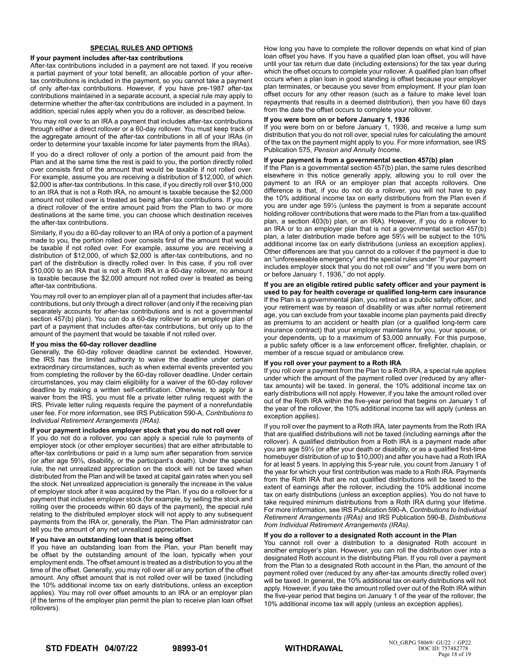## **SPECIAL RULES AND OPTIONS**

#### **If your payment includes after-tax contributions**

After-tax contributions included in a payment are not taxed. If you receive a partial payment of your total benefit, an allocable portion of your aftertax contributions is included in the payment, so you cannot take a payment of only after-tax contributions. However, if you have pre-1987 after-tax contributions maintained in a separate account, a special rule may apply to determine whether the after-tax contributions are included in a payment. In addition, special rules apply when you do a rollover, as described below.

You may roll over to an IRA a payment that includes after-tax contributions through either a direct rollover or a 60-day rollover. You must keep track of the aggregate amount of the after-tax contributions in all of your IRAs (in order to determine your taxable income for later payments from the IRAs).

If you do a direct rollover of only a portion of the amount paid from the Plan and at the same time the rest is paid to you, the portion directly rolled over consists first of the amount that would be taxable if not rolled over. For example, assume you are receiving a distribution of \$12,000, of which \$2,000 is after-tax contributions. In this case, if you directly roll over \$10,000 to an IRA that is not a Roth IRA, no amount is taxable because the \$2,000 amount not rolled over is treated as being after-tax contributions. If you do a direct rollover of the entire amount paid from the Plan to two or more destinations at the same time, you can choose which destination receives the after-tax contributions.

Similarly, if you do a 60-day rollover to an IRA of only a portion of a payment made to you, the portion rolled over consists first of the amount that would be taxable if not rolled over. For example, assume you are receiving a distribution of \$12,000, of which \$2,000 is after-tax contributions, and no part of the distribution is directly rolled over. In this case, if you roll over \$10,000 to an IRA that is not a Roth IRA in a 60-day rollover, no amount is taxable because the \$2,000 amount not rolled over is treated as being after-tax contributions.

You may roll over to an employer plan all of a payment that includes after-tax contributions, but only through a direct rollover (and only if the receiving plan separately accounts for after-tax contributions and is not a governmental section 457(b) plan). You can do a 60-day rollover to an employer plan of part of a payment that includes after-tax contributions, but only up to the amount of the payment that would be taxable if not rolled over.

## **If you miss the 60-day rollover deadline**

Generally, the 60-day rollover deadline cannot be extended. However, the IRS has the limited authority to waive the deadline under certain extraordinary circumstances, such as when external events prevented you from completing the rollover by the 60-day rollover deadline. Under certain circumstances, you may claim eligibility for a waiver of the 60-day rollover deadline by making a written self-certification. Otherwise, to apply for a waiver from the IRS, you must file a private letter ruling request with the IRS. Private letter ruling requests require the payment of a nonrefundable user fee. For more information, see IRS Publication 590-A, *Contributions to Individual Retirement Arrangements (IRAs).*

#### **If your payment includes employer stock that you do not roll over**

If you do not do a rollover, you can apply a special rule to payments of employer stock (or other employer securities) that are either attributable to after-tax contributions or paid in a lump sum after separation from service (or after age 59½, disability, or the participant's death). Under the special rule, the net unrealized appreciation on the stock will not be taxed when distributed from the Plan and will be taxed at capital gain rates when you sell the stock. Net unrealized appreciation is generally the increase in the value of employer stock after it was acquired by the Plan. If you do a rollover for a payment that includes employer stock (for example, by selling the stock and rolling over the proceeds within 60 days of the payment), the special rule relating to the distributed employer stock will not apply to any subsequent payments from the IRA or, generally, the Plan. The Plan administrator can tell you the amount of any net unrealized appreciation.

#### **If you have an outstanding loan that is being offset**

If you have an outstanding loan from the Plan, your Plan benefit may be offset by the outstanding amount of the loan, typically when your employment ends. The offset amount is treated as a distribution to you at the time of the offset. Generally, you may roll over all or any portion of the offset amount. Any offset amount that is not rolled over will be taxed (including the 10% additional income tax on early distributions, unless an exception applies). You may roll over offset amounts to an IRA or an employer plan (if the terms of the employer plan permit the plan to receive plan loan offset rollovers).

How long you have to complete the rollover depends on what kind of plan loan offset you have. If you have a qualified plan loan offset, you will have until your tax return due date (including extensions) for the tax year during which the offset occurs to complete your rollover. A qualified plan loan offset occurs when a plan loan in good standing is offset because your employer plan terminates, or because you sever from employment. If your plan loan offset occurs for any other reason (such as a failure to make level loan repayments that results in a deemed distribution), then you have 60 days from the date the offset occurs to complete your rollover.

#### **If you were born on or before January 1, 1936**

If you were born on or before January 1, 1936, and receive a lump sum distribution that you do not roll over, special rules for calculating the amount of the tax on the payment might apply to you. For more information, see IRS Publication 575, *Pension and Annuity Income*.

#### **If your payment is from a governmental section 457(b) plan**

If the Plan is a governmental section 457(b) plan, the same rules described elsewhere in this notice generally apply, allowing you to roll over the payment to an IRA or an employer plan that accepts rollovers. One difference is that, if you do not do a rollover, you will not have to pay the 10% additional income tax on early distributions from the Plan even if you are under age 59½ (unless the payment is from a separate account holding rollover contributions that were made to the Plan from a tax-qualified plan, a section 403(b) plan, or an IRA). However, if you do a rollover to an IRA or to an employer plan that is not a governmental section 457(b) plan, a later distribution made before age 59½ will be subject to the 10% additional income tax on early distributions (unless an exception applies). Other differences are that you cannot do a rollover if the payment is due to an "unforeseeable emergency" and the special rules under "If your payment includes employer stock that you do not roll over" and "If you were born on or before January 1, 1936," do not apply.

**If you are an eligible retired public safety officer and your payment is used to pay for health coverage or qualified long-term care insurance** If the Plan is a governmental plan, you retired as a public safety officer, and your retirement was by reason of disability or was after normal retirement age, you can exclude from your taxable income plan payments paid directly as premiums to an accident or health plan (or a qualified long-term care insurance contract) that your employer maintains for you, your spouse, or your dependents, up to a maximum of \$3,000 annually. For this purpose, a public safety officer is a law enforcement officer, firefighter, chaplain, or member of a rescue squad or ambulance crew.

#### **If you roll over your payment to a Roth IRA**

If you roll over a payment from the Plan to a Roth IRA, a special rule applies under which the amount of the payment rolled over (reduced by any aftertax amounts) will be taxed. In general, the 10% additional income tax on early distributions will not apply. However, if you take the amount rolled over out of the Roth IRA within the five-year period that begins on January 1 of the year of the rollover, the 10% additional income tax will apply (unless an exception applies).

If you roll over the payment to a Roth IRA, later payments from the Roth IRA that are qualified distributions will not be taxed (including earnings after the rollover). A qualified distribution from a Roth IRA is a payment made after you are age 59½ (or after your death or disability, or as a qualified first-time homebuyer distribution of up to \$10,000) and after you have had a Roth IRA for at least 5 years. In applying this 5-year rule, you count from January 1 of the year for which your first contribution was made to a Roth IRA. Payments from the Roth IRA that are not qualified distributions will be taxed to the extent of earnings after the rollover, including the 10% additional income tax on early distributions (unless an exception applies). You do not have to take required minimum distributions from a Roth IRA during your lifetime. For more information, see IRS Publication 590-A, *Contributions to Individual Retirement Arrangements (IRAs)* and IRS Publication 590-B, *Distributions from Individual Retirement Arrangements (IRAs)*.

## **If you do a rollover to a designated Roth account in the Plan**

You cannot roll over a distribution to a designated Roth account in another employer's plan. However, you can roll the distribution over into a designated Roth account in the distributing Plan. If you roll over a payment from the Plan to a designated Roth account in the Plan, the amount of the payment rolled over (reduced by any after-tax amounts directly rolled over) will be taxed. In general, the 10% additional tax on early distributions will not apply. However, if you take the amount rolled over out of the Roth IRA within the five-year period that begins on January 1 of the year of the rollover, the 10% additional income tax will apply (unless an exception applies).